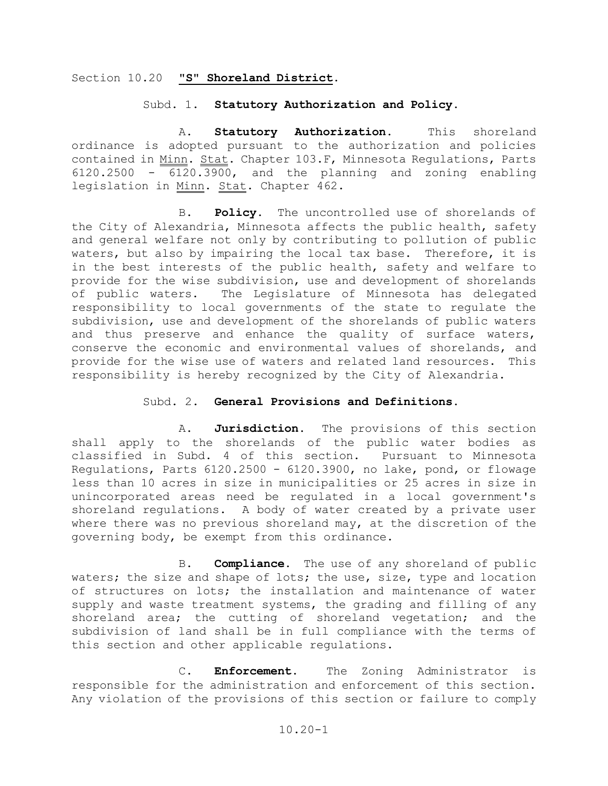## Section 10.20 **"S" Shoreland District**.

### Subd. 1. **Statutory Authorization and Policy.**

A. **Statutory Authorization.** This shoreland ordinance is adopted pursuant to the authorization and policies contained in Minn. Stat. Chapter 103.F, Minnesota Regulations, Parts 6120.2500 - 6120.3900, and the planning and zoning enabling legislation in Minn. Stat. Chapter 462.

 B. **Policy.** The uncontrolled use of shorelands of the City of Alexandria, Minnesota affects the public health, safety and general welfare not only by contributing to pollution of public waters, but also by impairing the local tax base. Therefore, it is in the best interests of the public health, safety and welfare to provide for the wise subdivision, use and development of shorelands<br>of public waters. The Legislature of Minnesota has delegated The Legislature of Minnesota has delegated responsibility to local governments of the state to regulate the subdivision, use and development of the shorelands of public waters and thus preserve and enhance the quality of surface waters, conserve the economic and environmental values of shorelands, and provide for the wise use of waters and related land resources. This responsibility is hereby recognized by the City of Alexandria.

## Subd. 2. **General Provisions and Definitions.**

 A. **Jurisdiction**. The provisions of this section shall apply to the shorelands of the public water bodies as<br>classified in Subd. 4 of this section. Pursuant to Minnesota classified in Subd. 4 of this section. Regulations, Parts 6120.2500 - 6120.3900, no lake, pond, or flowage less than 10 acres in size in municipalities or 25 acres in size in unincorporated areas need be regulated in a local government's shoreland regulations. A body of water created by a private user where there was no previous shoreland may, at the discretion of the governing body, be exempt from this ordinance.

 B. **Compliance.** The use of any shoreland of public waters; the size and shape of lots; the use, size, type and location of structures on lots; the installation and maintenance of water supply and waste treatment systems, the grading and filling of any shoreland area; the cutting of shoreland vegetation; and the subdivision of land shall be in full compliance with the terms of this section and other applicable regulations.

 C. **Enforcement**. The Zoning Administrator is responsible for the administration and enforcement of this section. Any violation of the provisions of this section or failure to comply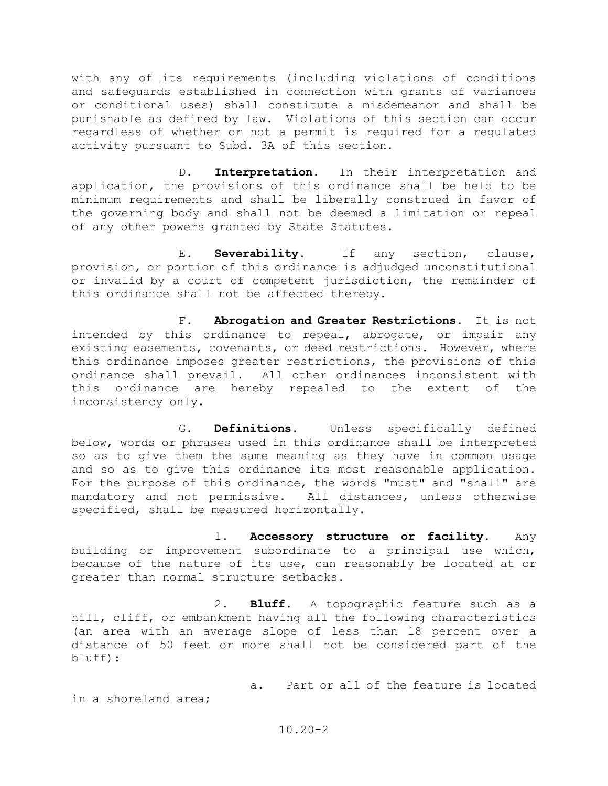with any of its requirements (including violations of conditions and safeguards established in connection with grants of variances or conditional uses) shall constitute a misdemeanor and shall be punishable as defined by law. Violations of this section can occur regardless of whether or not a permit is required for a regulated activity pursuant to Subd. 3A of this section.

D. **Interpretation.** In their interpretation and application, the provisions of this ordinance shall be held to be minimum requirements and shall be liberally construed in favor of the governing body and shall not be deemed a limitation or repeal of any other powers granted by State Statutes.

E. **Severability.** If any section, clause, provision, or portion of this ordinance is adjudged unconstitutional or invalid by a court of competent jurisdiction, the remainder of this ordinance shall not be affected thereby.

F. **Abrogation and Greater Restrictions.** It is not intended by this ordinance to repeal, abrogate, or impair any existing easements, covenants, or deed restrictions. However, where this ordinance imposes greater restrictions, the provisions of this ordinance shall prevail. All other ordinances inconsistent with<br>this ordinance are hereby repealed to the extent of the this ordinance are hereby repealed to the extent of the inconsistency only.

G. **Definitions.** Unless specifically defined below, words or phrases used in this ordinance shall be interpreted so as to give them the same meaning as they have in common usage and so as to give this ordinance its most reasonable application. For the purpose of this ordinance, the words "must" and "shall" are mandatory and not permissive. All distances, unless otherwise All distances, unless otherwise specified, shall be measured horizontally.

1. **Accessory structure or facility.** Any building or improvement subordinate to a principal use which, because of the nature of its use, can reasonably be located at or greater than normal structure setbacks.

2. **Bluff**. A topographic feature such as a hill, cliff, or embankment having all the following characteristics (an area with an average slope of less than 18 percent over a distance of 50 feet or more shall not be considered part of the bluff):

a. Part or all of the feature is located

in a shoreland area;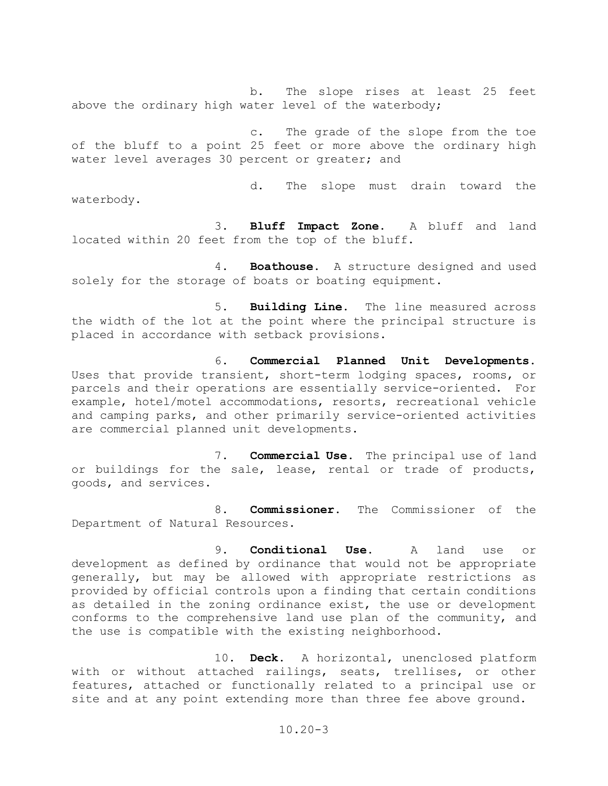b. The slope rises at least 25 feet above the ordinary high water level of the waterbody;

c. The grade of the slope from the toe of the bluff to a point 25 feet or more above the ordinary high water level averages 30 percent or greater; and

d. The slope must drain toward the waterbody.

3. **Bluff Impact Zone**. A bluff and land located within 20 feet from the top of the bluff.

4. **Boathouse.** A structure designed and used solely for the storage of boats or boating equipment.

5. **Building Line**. The line measured across the width of the lot at the point where the principal structure is placed in accordance with setback provisions.

6. **Commercial Planned Unit Developments.** Uses that provide transient, short-term lodging spaces, rooms, or parcels and their operations are essentially service-oriented. For example, hotel/motel accommodations, resorts, recreational vehicle and camping parks, and other primarily service-oriented activities are commercial planned unit developments.

7. **Commercial Use**. The principal use of land or buildings for the sale, lease, rental or trade of products, goods, and services.

8. **Commissioner.** The Commissioner of the Department of Natural Resources.

9. **Conditional Use.** A land use or development as defined by ordinance that would not be appropriate generally, but may be allowed with appropriate restrictions as provided by official controls upon a finding that certain conditions as detailed in the zoning ordinance exist, the use or development conforms to the comprehensive land use plan of the community, and the use is compatible with the existing neighborhood.

10. **Deck**. A horizontal, unenclosed platform with or without attached railings, seats, trellises, or other features, attached or functionally related to a principal use or site and at any point extending more than three fee above ground.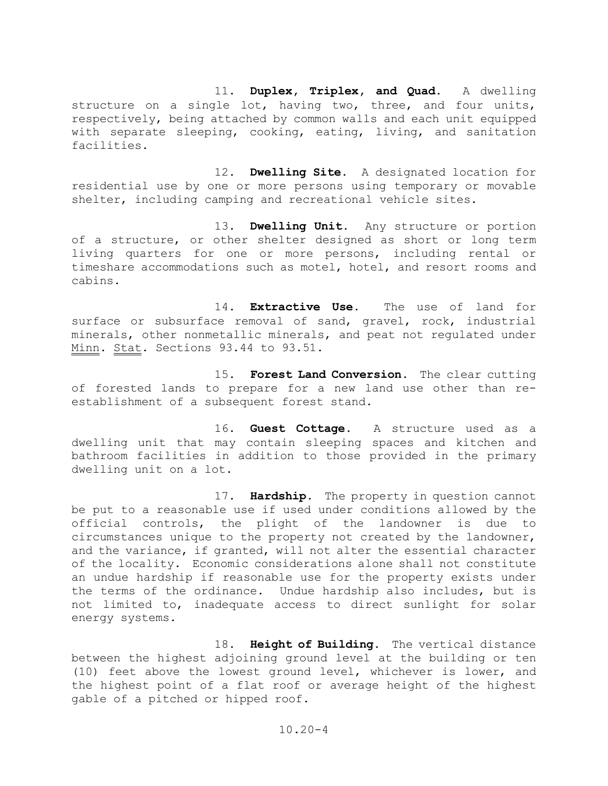11. **Duplex, Triplex, and Quad.** A dwelling structure on a single lot, having two, three, and four units, respectively, being attached by common walls and each unit equipped with separate sleeping, cooking, eating, living, and sanitation facilities.

 12. **Dwelling Site**. A designated location for residential use by one or more persons using temporary or movable shelter, including camping and recreational vehicle sites.

 13. **Dwelling Unit.** Any structure or portion of a structure, or other shelter designed as short or long term living quarters for one or more persons, including rental or timeshare accommodations such as motel, hotel, and resort rooms and cabins.

 14. **Extractive Use**. The use of land for surface or subsurface removal of sand, gravel, rock, industrial minerals, other nonmetallic minerals, and peat not regulated under Minn. Stat. Sections 93.44 to 93.51.

 15. **Forest Land Conversion**. The clear cutting of forested lands to prepare for a new land use other than reestablishment of a subsequent forest stand.

 16. **Guest Cottage**. A structure used as a dwelling unit that may contain sleeping spaces and kitchen and bathroom facilities in addition to those provided in the primary dwelling unit on a lot.

 17. **Hardship**. The property in question cannot be put to a reasonable use if used under conditions allowed by the<br>official controls, the plight of the landowner is due to official controls, the plight of the landowner is circumstances unique to the property not created by the landowner, and the variance, if granted, will not alter the essential character of the locality. Economic considerations alone shall not constitute an undue hardship if reasonable use for the property exists under the terms of the ordinance. Undue hardship also includes, but is not limited to, inadequate access to direct sunlight for solar energy systems.

 18. **Height of Building.** The vertical distance between the highest adjoining ground level at the building or ten (10) feet above the lowest ground level, whichever is lower, and the highest point of a flat roof or average height of the highest gable of a pitched or hipped roof.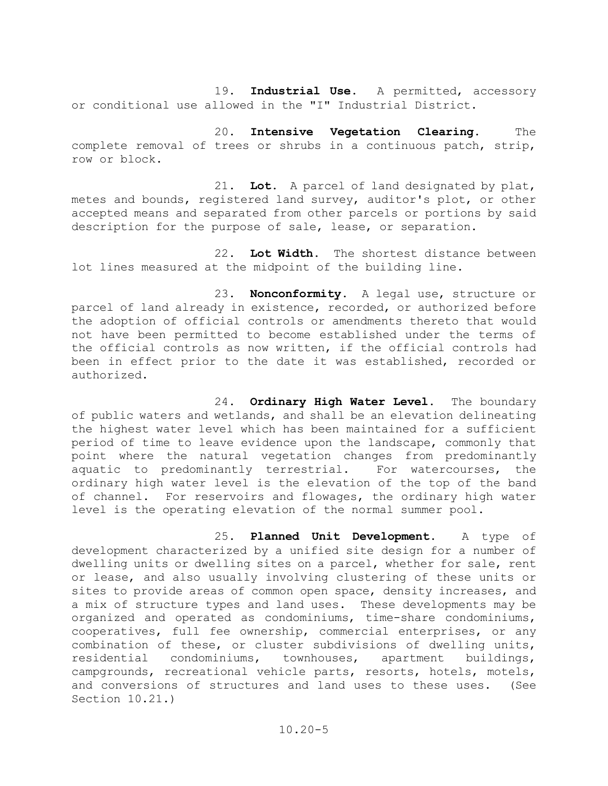19. **Industrial Use**. A permitted, accessory or conditional use allowed in the "I" Industrial District.

20. **Intensive Vegetation Clearing**. The complete removal of trees or shrubs in a continuous patch, strip, row or block.

21. **Lot.** A parcel of land designated by plat, metes and bounds, registered land survey, auditor's plot, or other accepted means and separated from other parcels or portions by said description for the purpose of sale, lease, or separation.

22. **Lot Width.** The shortest distance between lot lines measured at the midpoint of the building line.

23. **Nonconformity.** A legal use, structure or parcel of land already in existence, recorded, or authorized before the adoption of official controls or amendments thereto that would not have been permitted to become established under the terms of the official controls as now written, if the official controls had been in effect prior to the date it was established, recorded or authorized.

24. **Ordinary High Water Level**. The boundary of public waters and wetlands, and shall be an elevation delineating the highest water level which has been maintained for a sufficient period of time to leave evidence upon the landscape, commonly that point where the natural vegetation changes from predominantly<br>aquatic to predominantly terrestrial. For watercourses, the aquatic to predominantly terrestrial. ordinary high water level is the elevation of the top of the band of channel. For reservoirs and flowages, the ordinary high water level is the operating elevation of the normal summer pool.

25. **Planned Unit Development**. A type of development characterized by a unified site design for a number of dwelling units or dwelling sites on a parcel, whether for sale, rent or lease, and also usually involving clustering of these units or sites to provide areas of common open space, density increases, and a mix of structure types and land uses. These developments may be organized and operated as condominiums, time-share condominiums, cooperatives, full fee ownership, commercial enterprises, or any combination of these, or cluster subdivisions of dwelling units, residential condominiums, townhouses, apartment buildings, campgrounds, recreational vehicle parts, resorts, hotels, motels, and conversions of structures and land uses to these uses. (See Section 10.21.)

10.20-5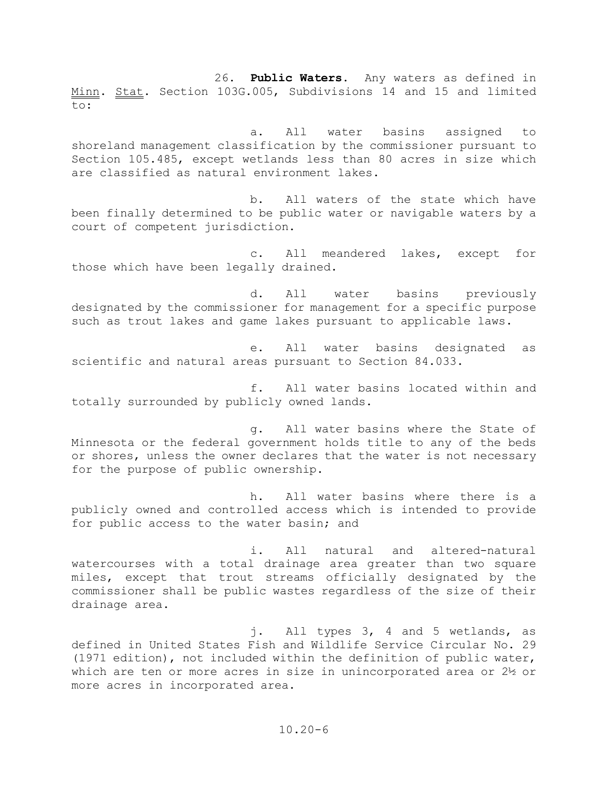26. **Public Waters**. Any waters as defined in Minn. Stat. Section 103G.005, Subdivisions 14 and 15 and limited to:

 a. All water basins assigned to shoreland management classification by the commissioner pursuant to Section 105.485, except wetlands less than 80 acres in size which are classified as natural environment lakes.

 b. All waters of the state which have been finally determined to be public water or navigable waters by a court of competent jurisdiction.

 c. All meandered lakes, except for those which have been legally drained.

 d. All water basins previously designated by the commissioner for management for a specific purpose such as trout lakes and game lakes pursuant to applicable laws.

 e. All water basins designated as scientific and natural areas pursuant to Section 84.033.

 f. All water basins located within and totally surrounded by publicly owned lands.

 g. All water basins where the State of Minnesota or the federal government holds title to any of the beds or shores, unless the owner declares that the water is not necessary for the purpose of public ownership.

 h. All water basins where there is a publicly owned and controlled access which is intended to provide for public access to the water basin; and

 i. All natural and altered-natural watercourses with a total drainage area greater than two square miles, except that trout streams officially designated by the commissioner shall be public wastes regardless of the size of their drainage area.

 j. All types 3, 4 and 5 wetlands, as defined in United States Fish and Wildlife Service Circular No. 29 (1971 edition), not included within the definition of public water, which are ten or more acres in size in unincorporated area or 2½ or more acres in incorporated area.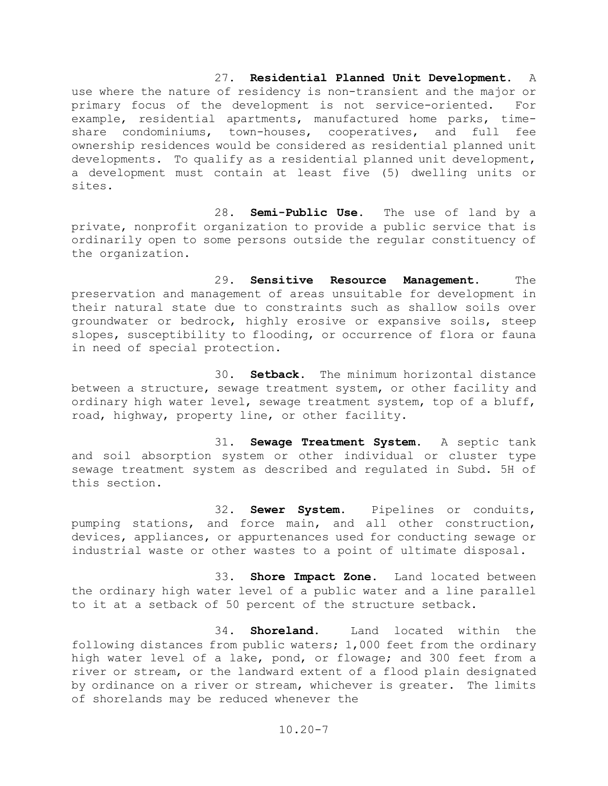### 27. **Residential Planned Unit Development.** A

use where the nature of residency is non-transient and the major or primary focus of the development is not service-oriented. For example, residential apartments, manufactured home parks, time-<br>share condominiums, town-houses, cooperatives, and full fee share condominiums, town-houses, cooperatives, and full ownership residences would be considered as residential planned unit developments. To qualify as a residential planned unit development, a development must contain at least five (5) dwelling units or sites.

28. **Semi-Public Use.** The use of land by a private, nonprofit organization to provide a public service that is ordinarily open to some persons outside the regular constituency of the organization.

29. **Sensitive Resource Management.** The preservation and management of areas unsuitable for development in their natural state due to constraints such as shallow soils over groundwater or bedrock, highly erosive or expansive soils, steep slopes, susceptibility to flooding, or occurrence of flora or fauna in need of special protection.

30. **Setback**. The minimum horizontal distance between a structure, sewage treatment system, or other facility and ordinary high water level, sewage treatment system, top of a bluff, road, highway, property line, or other facility.

31. **Sewage Treatment System.** A septic tank and soil absorption system or other individual or cluster type sewage treatment system as described and regulated in Subd. 5H of this section.

32. **Sewer System**. Pipelines or conduits, pumping stations, and force main, and all other construction, devices, appliances, or appurtenances used for conducting sewage or industrial waste or other wastes to a point of ultimate disposal.

33. **Shore Impact Zone**. Land located between the ordinary high water level of a public water and a line parallel to it at a setback of 50 percent of the structure setback.

34. **Shoreland**. Land located within the following distances from public waters; 1,000 feet from the ordinary high water level of a lake, pond, or flowage; and 300 feet from a river or stream, or the landward extent of a flood plain designated by ordinance on a river or stream, whichever is greater. The limits of shorelands may be reduced whenever the

 $10.20 - 7$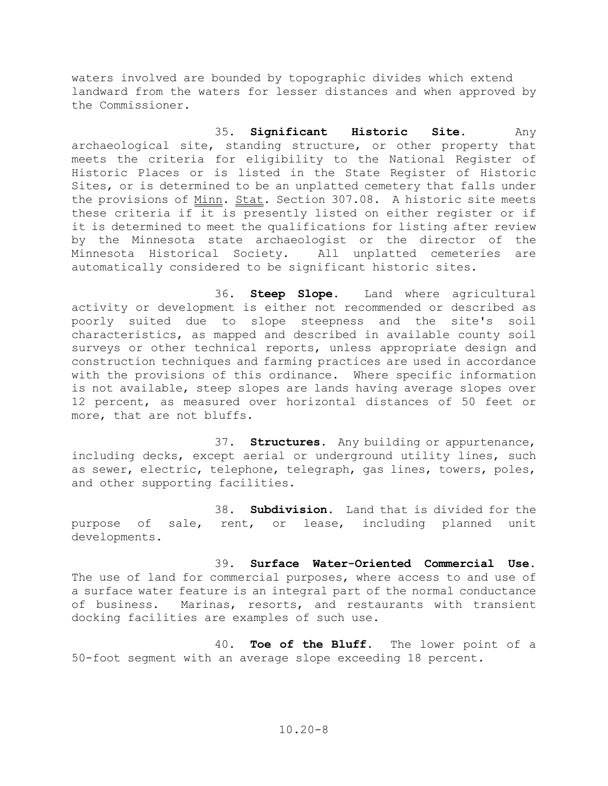waters involved are bounded by topographic divides which extend landward from the waters for lesser distances and when approved by the Commissioner.

 35. **Significant Historic Site**. Any archaeological site, standing structure, or other property that meets the criteria for eligibility to the National Register of Historic Places or is listed in the State Register of Historic Sites, or is determined to be an unplatted cemetery that falls under the provisions of Minn. Stat. Section 307.08. A historic site meets these criteria if it is presently listed on either register or if it is determined to meet the qualifications for listing after review by the Minnesota state archaeologist or the director of the<br>Minnesota Historical Society. All unplatted cemeteries are Minnesota Historical Society. All unplatted cemeteries are automatically considered to be significant historic sites.

 36. **Steep Slope**. Land where agricultural activity or development is either not recommended or described as poorly suited due to slope steepness and the site's soil characteristics, as mapped and described in available county soil surveys or other technical reports, unless appropriate design and construction techniques and farming practices are used in accordance with the provisions of this ordinance. Where specific information is not available, steep slopes are lands having average slopes over 12 percent, as measured over horizontal distances of 50 feet or more, that are not bluffs.

 37. **Structures**. Any building or appurtenance, including decks, except aerial or underground utility lines, such as sewer, electric, telephone, telegraph, gas lines, towers, poles, and other supporting facilities.

 38. **Subdivision.** Land that is divided for the purpose of sale, rent, or lease, including planned unit developments.

 39. **Surface Water-Oriented Commercial Use**. The use of land for commercial purposes, where access to and use of a surface water feature is an integral part of the normal conductance of business. Marinas, resorts, and restaurants with transient docking facilities are examples of such use.

 40. **Toe of the Bluff**. The lower point of a 50-foot segment with an average slope exceeding 18 percent.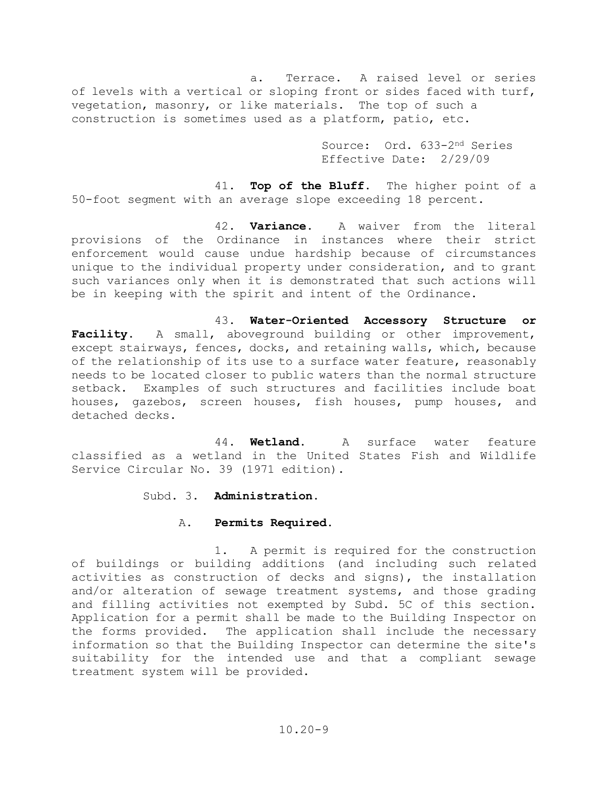a. Terrace. A raised level or series of levels with a vertical or sloping front or sides faced with turf, vegetation, masonry, or like materials. The top of such a construction is sometimes used as a platform, patio, etc.

> Source: Ord. 633-2nd Series Effective Date: 2/29/09

41. **Top of the Bluff**. The higher point of a 50-foot segment with an average slope exceeding 18 percent.

42. **Variance**. A waiver from the literal provisions of the Ordinance in instances where their strict enforcement would cause undue hardship because of circumstances unique to the individual property under consideration, and to grant such variances only when it is demonstrated that such actions will be in keeping with the spirit and intent of the Ordinance.

43. **Water-Oriented Accessory Structure or Facility**. A small, aboveground building or other improvement, except stairways, fences, docks, and retaining walls, which, because of the relationship of its use to a surface water feature, reasonably needs to be located closer to public waters than the normal structure setback. Examples of such structures and facilities include boat houses, gazebos, screen houses, fish houses, pump houses, and detached decks.

44. **Wetland**. A surface water feature classified as a wetland in the United States Fish and Wildlife Service Circular No. 39 (1971 edition).

Subd. 3. **Administration.**

## A. **Permits Required.**

1. A permit is required for the construction of buildings or building additions (and including such related activities as construction of decks and signs), the installation and/or alteration of sewage treatment systems, and those grading and filling activities not exempted by Subd. 5C of this section. Application for a permit shall be made to the Building Inspector on the forms provided. The application shall include the necessary information so that the Building Inspector can determine the site's suitability for the intended use and that a compliant sewage treatment system will be provided.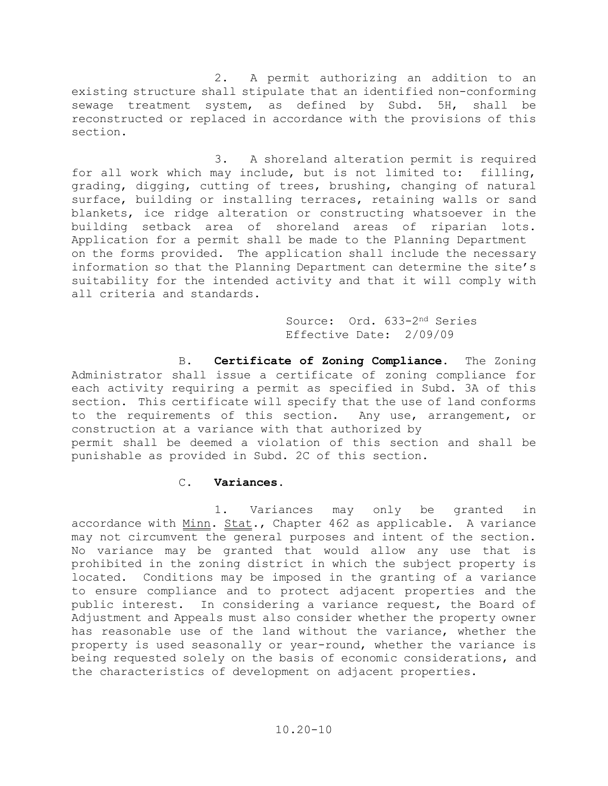2. A permit authorizing an addition to an existing structure shall stipulate that an identified non-conforming sewage treatment system, as defined by Subd. 5H, shall be reconstructed or replaced in accordance with the provisions of this section.

 3. A shoreland alteration permit is required for all work which may include, but is not limited to: filling, grading, digging, cutting of trees, brushing, changing of natural surface, building or installing terraces, retaining walls or sand blankets, ice ridge alteration or constructing whatsoever in the building setback area of shoreland areas of riparian lots. Application for a permit shall be made to the Planning Department on the forms provided. The application shall include the necessary information so that the Planning Department can determine the site's suitability for the intended activity and that it will comply with all criteria and standards.

> Source: Ord. 633-2nd Series Effective Date: 2/09/09

 B. **Certificate of Zoning Compliance.** The Zoning Administrator shall issue a certificate of zoning compliance for each activity requiring a permit as specified in Subd. 3A of this section. This certificate will specify that the use of land conforms to the requirements of this section. Any use, arrangement, or construction at a variance with that authorized by permit shall be deemed a violation of this section and shall be punishable as provided in Subd. 2C of this section.

## C. **Variances.**

 1. Variances may only be granted in accordance with Minn. Stat., Chapter 462 as applicable. A variance may not circumvent the general purposes and intent of the section. No variance may be granted that would allow any use that is prohibited in the zoning district in which the subject property is located. Conditions may be imposed in the granting of a variance to ensure compliance and to protect adjacent properties and the public interest. In considering a variance request, the Board of Adjustment and Appeals must also consider whether the property owner has reasonable use of the land without the variance, whether the property is used seasonally or year-round, whether the variance is being requested solely on the basis of economic considerations, and the characteristics of development on adjacent properties.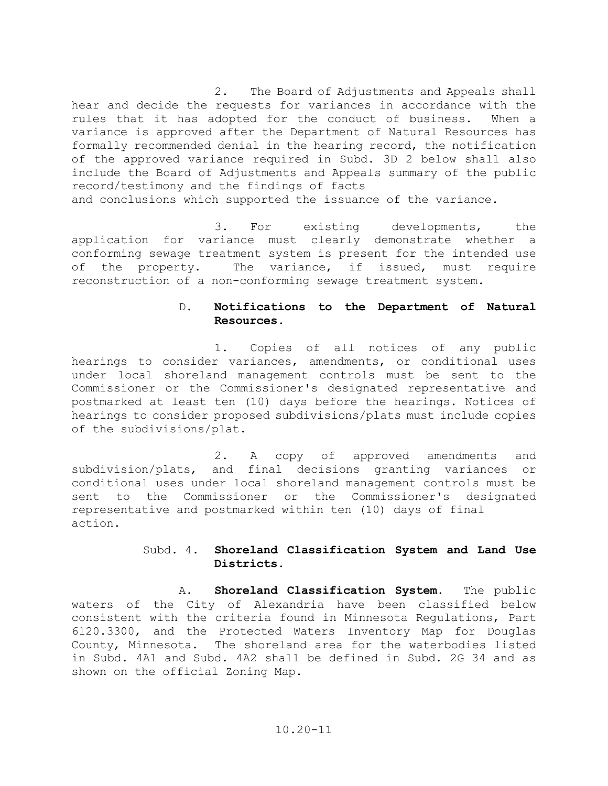2. The Board of Adjustments and Appeals shall hear and decide the requests for variances in accordance with the rules that it has adopted for the conduct of business. When a variance is approved after the Department of Natural Resources has formally recommended denial in the hearing record, the notification of the approved variance required in Subd. 3D 2 below shall also include the Board of Adjustments and Appeals summary of the public record/testimony and the findings of facts and conclusions which supported the issuance of the variance.

3. For existing developments, the application for variance must clearly demonstrate whether a conforming sewage treatment system is present for the intended use of the property. The variance, if issued, must require reconstruction of a non-conforming sewage treatment system.

## D. **Notifications to the Department of Natural Resources.**

1. Copies of all notices of any public hearings to consider variances, amendments, or conditional uses under local shoreland management controls must be sent to the Commissioner or the Commissioner's designated representative and postmarked at least ten (10) days before the hearings. Notices of hearings to consider proposed subdivisions/plats must include copies of the subdivisions/plat.

2. A copy of approved amendments and subdivision/plats, and final decisions granting variances or conditional uses under local shoreland management controls must be sent to the Commissioner or the Commissioner's designated representative and postmarked within ten (10) days of final action.

## Subd. 4. **Shoreland Classification System and Land Use Districts.**

A. **Shoreland Classification System**. The public waters of the City of Alexandria have been classified below consistent with the criteria found in Minnesota Regulations, Part 6120.3300, and the Protected Waters Inventory Map for Douglas County, Minnesota. The shoreland area for the waterbodies listed in Subd. 4A1 and Subd. 4A2 shall be defined in Subd. 2G 34 and as shown on the official Zoning Map.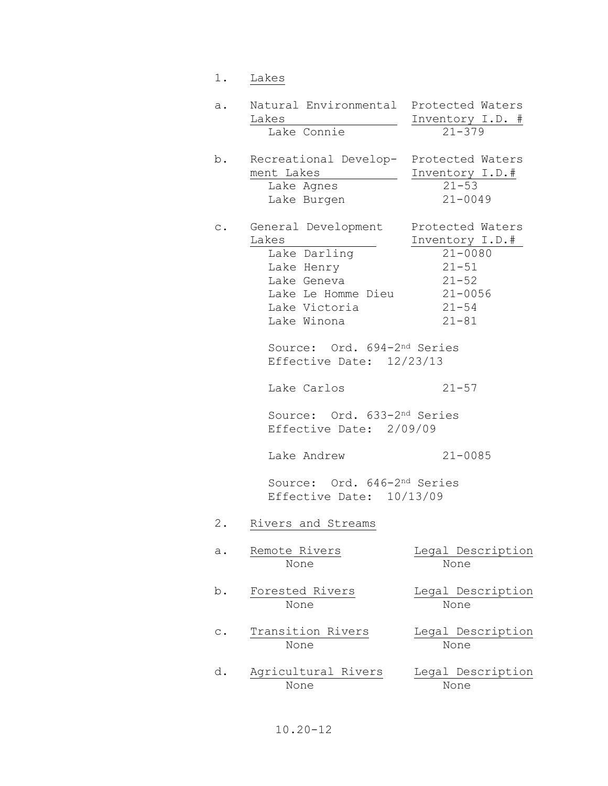| 1.             | Lakes                                                                                                                                                                                                                                                               |                                                                                                                                    |
|----------------|---------------------------------------------------------------------------------------------------------------------------------------------------------------------------------------------------------------------------------------------------------------------|------------------------------------------------------------------------------------------------------------------------------------|
| a.             | Natural Environmental<br>Lakes                                                                                                                                                                                                                                      | Protected Waters<br>Inventory I.D. #                                                                                               |
|                | Lake Connie                                                                                                                                                                                                                                                         | $21 - 379$                                                                                                                         |
| b.             | Recreational Develop- Protected Waters<br>ment Lakes<br>Lake Agnes<br>Lake Burgen                                                                                                                                                                                   | Inventory I.D.#<br>$21 - 53$<br>$21 - 0049$                                                                                        |
| $\mathsf{C}$ . | General Development<br>Lakes<br>Lake Darling<br>Lake Henry<br>Lake Geneva<br>Lake Le Homme Dieu<br>Lake Victoria<br>Lake Winona<br>Source: Ord. 694-2nd Series<br>Effective Date: 12/23/13<br>Lake Carlos<br>Source: Ord. 633-2nd Series<br>Effective Date: 2/09/09 | Protected Waters<br>Inventory I.D.#<br>$21 - 0080$<br>$21 - 51$<br>$21 - 52$<br>$21 - 0056$<br>$21 - 54$<br>$21 - 81$<br>$21 - 57$ |
|                | Lake Andrew                                                                                                                                                                                                                                                         | $21 - 0085$                                                                                                                        |
|                | Source: Ord. 646-2nd Series<br>Effective Date: 10/13/09                                                                                                                                                                                                             |                                                                                                                                    |
| 2.             | Rivers and Streams                                                                                                                                                                                                                                                  |                                                                                                                                    |
| a.             | Remote Rivers<br>None                                                                                                                                                                                                                                               | Legal Description<br>None                                                                                                          |
| b.             | Forested Rivers<br>None                                                                                                                                                                                                                                             | Legal Description<br>None                                                                                                          |
| $\mathtt{C}$ . | Transition Rivers<br>None                                                                                                                                                                                                                                           | Legal Description<br>None                                                                                                          |
| d.             | Agricultural Rivers<br>None                                                                                                                                                                                                                                         | Legal Description<br>None                                                                                                          |

# 10.20-12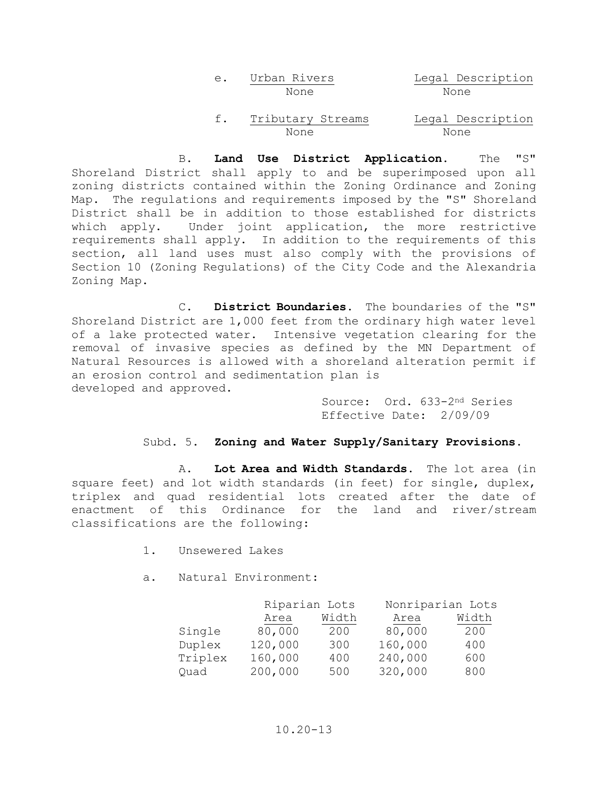| е. | Urban Rivers | Legal Description |
|----|--------------|-------------------|
|    | None         | None              |
|    |              |                   |

f. Tributary Streams Legal Description<br>None None None None

 B. **Land Use District Application.** The "S" Shoreland District shall apply to and be superimposed upon all zoning districts contained within the Zoning Ordinance and Zoning Map. The regulations and requirements imposed by the "S" Shoreland District shall be in addition to those established for districts which apply. Under joint application, the more restrictive requirements shall apply. In addition to the requirements of this section, all land uses must also comply with the provisions of Section 10 (Zoning Regulations) of the City Code and the Alexandria Zoning Map.

 C. **District Boundaries.** The boundaries of the "S" Shoreland District are 1,000 feet from the ordinary high water level of a lake protected water. Intensive vegetation clearing for the removal of invasive species as defined by the MN Department of Natural Resources is allowed with a shoreland alteration permit if an erosion control and sedimentation plan is developed and approved.

> Source: Ord. 633-2nd Series Effective Date: 2/09/09

## Subd. 5. **Zoning and Water Supply/Sanitary Provisions.**

 A. **Lot Area and Width Standards.** The lot area (in square feet) and lot width standards (in feet) for single, duplex, triplex and quad residential lots created after the date of enactment of this Ordinance for the land and river/stream classifications are the following:

- 1. Unsewered Lakes
- a. Natural Environment:

| Riparian Lots |       | Nonriparian Lots |       |
|---------------|-------|------------------|-------|
| Area          | Width | Area             | Width |
| 80,000        | 200   | 80,000           | 200   |
| 120,000       | 300   | 160,000          | 400   |
| 160,000       | 400   | 240,000          | 600   |
| 200,000       | 500   | 320,000          | 800   |
|               |       |                  |       |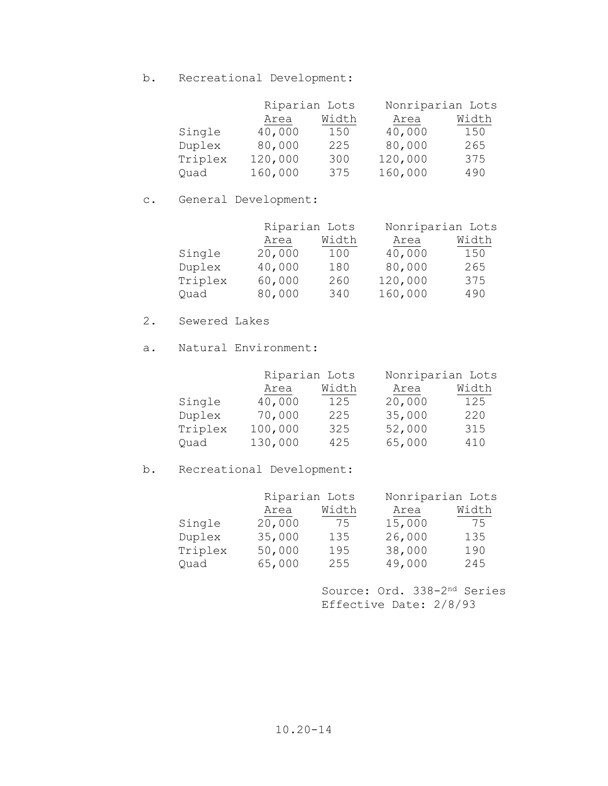b. Recreational Development:

|         | Riparian Lots |       | Nonriparian Lots |       |
|---------|---------------|-------|------------------|-------|
|         | Area          | Width | Area             | Width |
| Single  | 40,000        | 150   | 40,000           | 150   |
| Duplex  | 80,000        | 225   | 80,000           | 265   |
| Triplex | 120,000       | 300   | 120,000          | 375   |
| Ouad    | 160,000       | 375   | 160,000          | 490   |

# c. General Development:

|         | Riparian Lots |       | Nonriparian Lots |       |
|---------|---------------|-------|------------------|-------|
|         | Area          | Width | Area             | Width |
| Single  | 20,000        | 100   | 40,000           | 150   |
| Duplex  | 40,000        | 180   | 80,000           | 265   |
| Triplex | 60,000        | 260   | 120,000          | 375   |
| Ouad    | 80,000        | 340   | 160,000          | 490   |

## 2. Sewered Lakes

a. Natural Environment:

| Nonriparian Lots |  |
|------------------|--|
| Width            |  |
| 125              |  |
| 220              |  |
| 315              |  |
| 410              |  |
|                  |  |

# b. Recreational Development:

| Nonriparian Lots |  |
|------------------|--|
| Width            |  |
| 75               |  |
| 135              |  |
| 190              |  |
| 245              |  |
|                  |  |

 Source: Ord. 338-2nd Series Effective Date: 2/8/93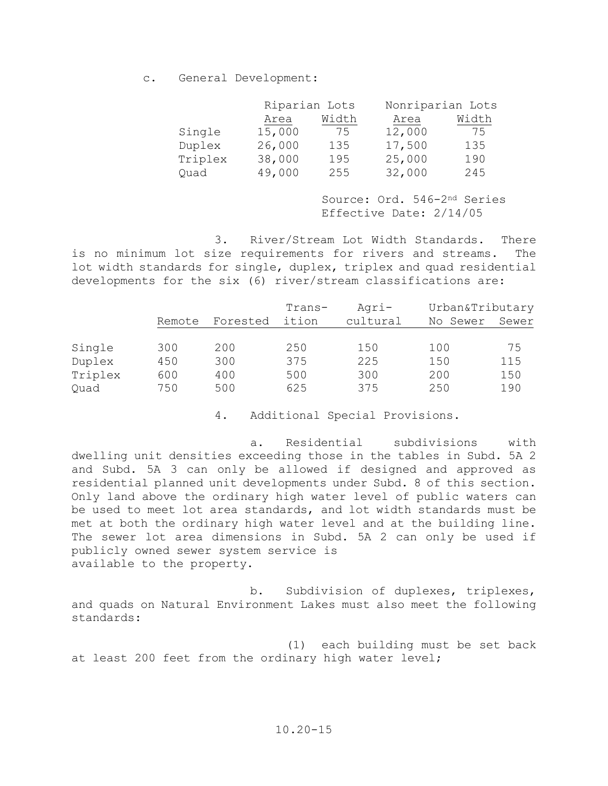c. General Development:

|         | Riparian Lots |       | Nonriparian Lots |       |
|---------|---------------|-------|------------------|-------|
|         | Area          | Width | Area             | Width |
| Single  | 15,000        | 75    | 12,000           | 75    |
| Duplex  | 26,000        | 135   | 17,500           | 135   |
| Triplex | 38,000        | 195   | 25,000           | 190   |
| Ouad    | 49,000        | 255   | 32,000           | 245   |

 Source: Ord. 546-2nd Series Effective Date: 2/14/05

 3. River/Stream Lot Width Standards. There is no minimum lot size requirements for rivers and streams. The lot width standards for single, duplex, triplex and quad residential developments for the six (6) river/stream classifications are:

|         |        |          | $Trans-$ | Agri-    | Urban&Tributary |       |
|---------|--------|----------|----------|----------|-----------------|-------|
|         | Remote | Forested | ition    | cultural | No Sewer        | Sewer |
|         |        |          |          |          |                 |       |
| Single  | 300    | 200      | 250      | 150      | 100             | 75    |
| Duplex  | 450    | 300      | 375      | 225      | 150             | 115   |
| Triplex | 600    | 400      | 500      | 300      | 200             | 150   |
| Quad    | 750    | 500      | 625      | 375      | 250             | 190   |

4. Additional Special Provisions.

 a. Residential subdivisions with dwelling unit densities exceeding those in the tables in Subd. 5A 2 and Subd. 5A 3 can only be allowed if designed and approved as residential planned unit developments under Subd. 8 of this section. Only land above the ordinary high water level of public waters can be used to meet lot area standards, and lot width standards must be met at both the ordinary high water level and at the building line. The sewer lot area dimensions in Subd. 5A 2 can only be used if publicly owned sewer system service is available to the property.

 b. Subdivision of duplexes, triplexes, and quads on Natural Environment Lakes must also meet the following standards:

 (1) each building must be set back at least 200 feet from the ordinary high water level;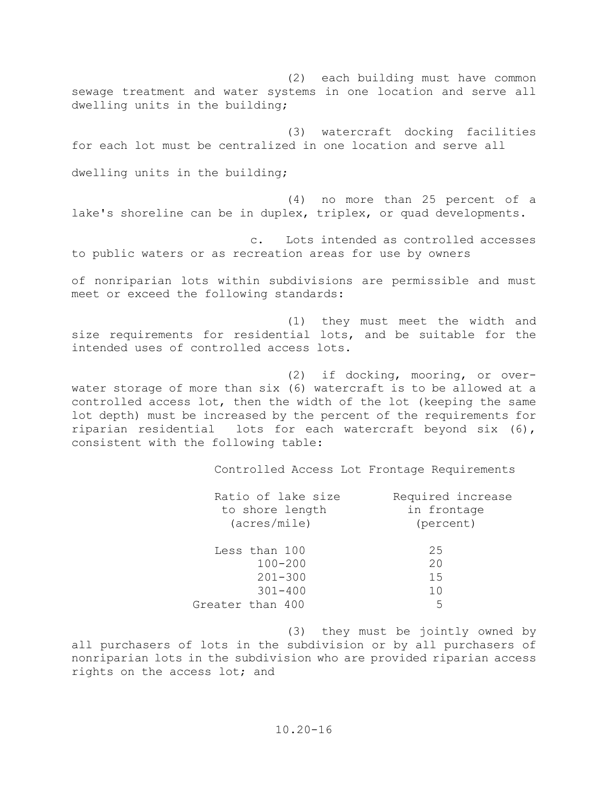(2) each building must have common sewage treatment and water systems in one location and serve all dwelling units in the building;

(3) watercraft docking facilities for each lot must be centralized in one location and serve all

dwelling units in the building;

(4) no more than 25 percent of a lake's shoreline can be in duplex, triplex, or quad developments.

c. Lots intended as controlled accesses to public waters or as recreation areas for use by owners

of nonriparian lots within subdivisions are permissible and must meet or exceed the following standards:

(1) they must meet the width and size requirements for residential lots, and be suitable for the intended uses of controlled access lots.

(2) if docking, mooring, or overwater storage of more than six (6) watercraft is to be allowed at a controlled access lot, then the width of the lot (keeping the same lot depth) must be increased by the percent of the requirements for riparian residential lots for each watercraft beyond six (6), consistent with the following table:

Controlled Access Lot Frontage Requirements

| Ratio of lake size | Required increase |
|--------------------|-------------------|
| to shore length    | in frontage       |
| $(\arcs/mile)$     | (percent)         |
| Less than 100      | 25                |
| $100 - 200$        | 20                |
| $201 - 300$        | 15                |
| $301 - 400$        | 10                |
| Greater than 400   | 5                 |

(3) they must be jointly owned by all purchasers of lots in the subdivision or by all purchasers of nonriparian lots in the subdivision who are provided riparian access rights on the access lot; and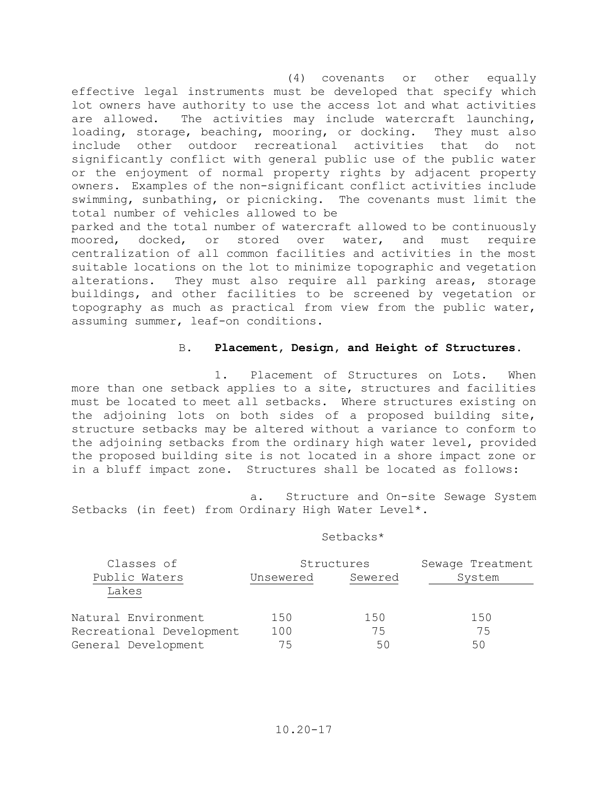(4) covenants or other equally effective legal instruments must be developed that specify which lot owners have authority to use the access lot and what activities are allowed. The activities may include watercraft launching,<br>loading, storage, beaching, mooring, or docking. They must also loading, storage, beaching, mooring, or docking. include other outdoor recreational activities that do not significantly conflict with general public use of the public water or the enjoyment of normal property rights by adjacent property owners. Examples of the non-significant conflict activities include swimming, sunbathing, or picnicking. The covenants must limit the total number of vehicles allowed to be

parked and the total number of watercraft allowed to be continuously<br>moored, docked, or stored over water, and must require docked, or stored over water, and must require centralization of all common facilities and activities in the most suitable locations on the lot to minimize topographic and vegetation alterations. They must also require all parking areas, storage buildings, and other facilities to be screened by vegetation or topography as much as practical from view from the public water, assuming summer, leaf-on conditions.

### B. **Placement, Design, and Height of Structures.**

 1. Placement of Structures on Lots. When more than one setback applies to a site, structures and facilities must be located to meet all setbacks. Where structures existing on the adjoining lots on both sides of a proposed building site, structure setbacks may be altered without a variance to conform to the adjoining setbacks from the ordinary high water level, provided the proposed building site is not located in a shore impact zone or in a bluff impact zone. Structures shall be located as follows:

 a. Structure and On-site Sewage System Setbacks (in feet) from Ordinary High Water Level\*.

### Setbacks\*

| Classes of               |           | Structures | Sewage Treatment |  |
|--------------------------|-----------|------------|------------------|--|
| Public Waters            | Unsewered | Sewered    | System           |  |
| Lakes                    |           |            |                  |  |
| Natural Environment      | 150       | 150        | 150              |  |
| Recreational Development | 100       | 75         | 75               |  |
| General Development      | 75        | 50         | 50               |  |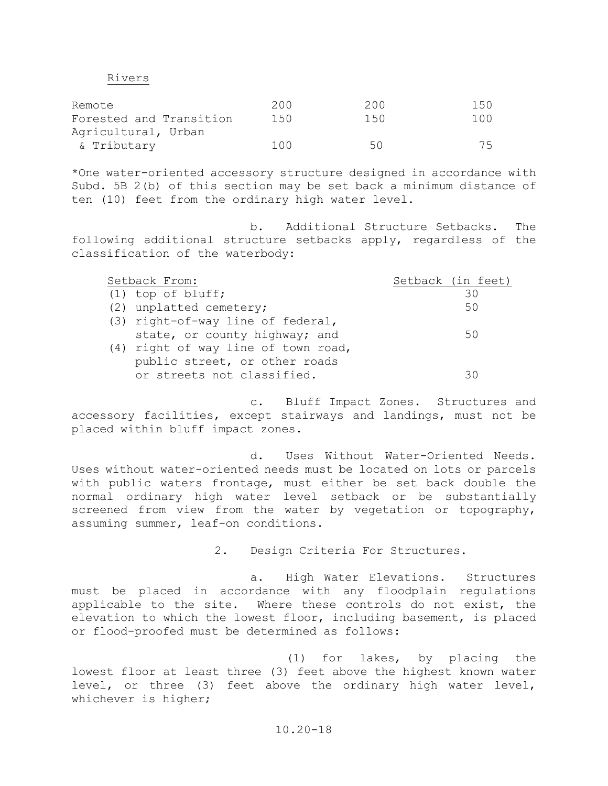#### Rivers

| Remote                  | 200   | 200 | 150 |
|-------------------------|-------|-----|-----|
| Forested and Transition | 150   | 150 | 100 |
| Agricultural, Urban     |       |     |     |
| & Tributary             | 1 N N | 50  | 75  |

\*One water-oriented accessory structure designed in accordance with Subd. 5B 2(b) of this section may be set back a minimum distance of ten (10) feet from the ordinary high water level.

 b. Additional Structure Setbacks. The following additional structure setbacks apply, regardless of the classification of the waterbody:

| Setback From:                       | Setback (in feet) |
|-------------------------------------|-------------------|
| $(1)$ top of bluff;                 | 30                |
| (2) unplatted cemetery;             | 50                |
| (3) right-of-way line of federal,   |                   |
| state, or county highway; and       | 50                |
| (4) right of way line of town road, |                   |
| public street, or other roads       |                   |
| or streets not classified.          | `⊰ (              |

 c. Bluff Impact Zones. Structures and accessory facilities, except stairways and landings, must not be placed within bluff impact zones.

 d. Uses Without Water-Oriented Needs. Uses without water-oriented needs must be located on lots or parcels with public waters frontage, must either be set back double the normal ordinary high water level setback or be substantially screened from view from the water by vegetation or topography, assuming summer, leaf-on conditions.

2. Design Criteria For Structures.

 a. High Water Elevations. Structures must be placed in accordance with any floodplain regulations applicable to the site. Where these controls do not exist, the elevation to which the lowest floor, including basement, is placed or flood-proofed must be determined as follows:

 (1) for lakes, by placing the lowest floor at least three (3) feet above the highest known water level, or three (3) feet above the ordinary high water level, whichever is higher;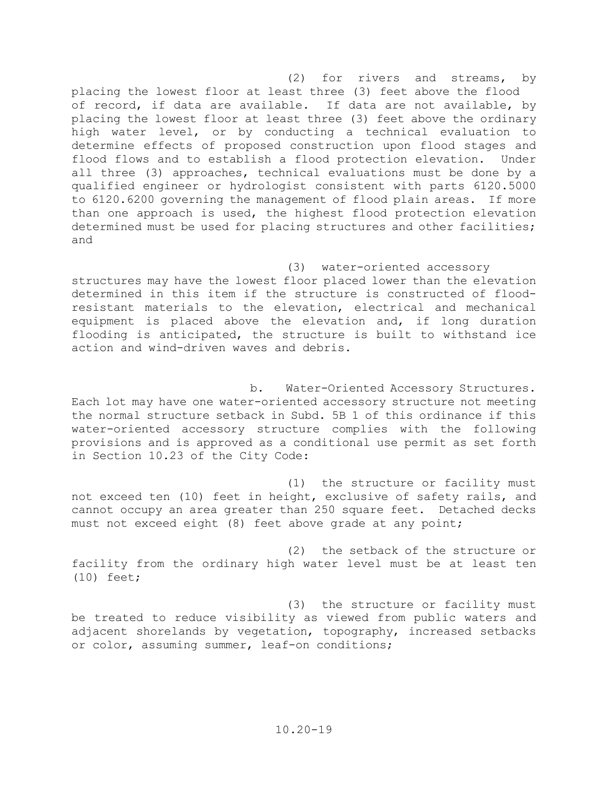(2) for rivers and streams, by placing the lowest floor at least three (3) feet above the flood of record, if data are available. If data are not available, by placing the lowest floor at least three (3) feet above the ordinary high water level, or by conducting a technical evaluation to determine effects of proposed construction upon flood stages and flood flows and to establish a flood protection elevation. Under all three (3) approaches, technical evaluations must be done by a qualified engineer or hydrologist consistent with parts 6120.5000 to 6120.6200 governing the management of flood plain areas. If more than one approach is used, the highest flood protection elevation determined must be used for placing structures and other facilities; and

### (3) water-oriented accessory

structures may have the lowest floor placed lower than the elevation determined in this item if the structure is constructed of floodresistant materials to the elevation, electrical and mechanical equipment is placed above the elevation and, if long duration flooding is anticipated, the structure is built to withstand ice action and wind-driven waves and debris.

b. Water-Oriented Accessory Structures. Each lot may have one water-oriented accessory structure not meeting the normal structure setback in Subd. 5B 1 of this ordinance if this water-oriented accessory structure complies with the following provisions and is approved as a conditional use permit as set forth in Section 10.23 of the City Code:

(1) the structure or facility must not exceed ten (10) feet in height, exclusive of safety rails, and cannot occupy an area greater than 250 square feet. Detached decks must not exceed eight (8) feet above grade at any point;

(2) the setback of the structure or facility from the ordinary high water level must be at least ten (10) feet;

(3) the structure or facility must be treated to reduce visibility as viewed from public waters and adjacent shorelands by vegetation, topography, increased setbacks or color, assuming summer, leaf-on conditions;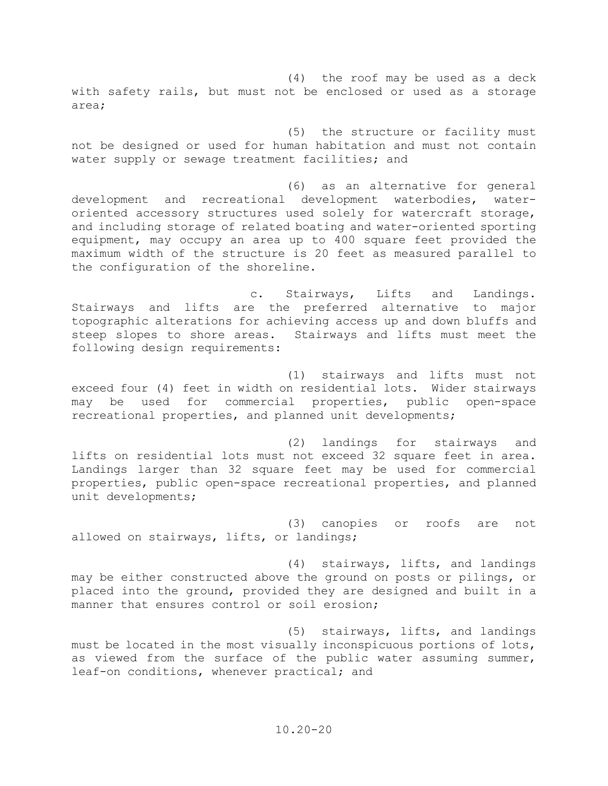(4) the roof may be used as a deck with safety rails, but must not be enclosed or used as a storage area;

(5) the structure or facility must not be designed or used for human habitation and must not contain water supply or sewage treatment facilities; and

(6) as an alternative for general development and recreational development waterbodies, wateroriented accessory structures used solely for watercraft storage, and including storage of related boating and water-oriented sporting equipment, may occupy an area up to 400 square feet provided the maximum width of the structure is 20 feet as measured parallel to the configuration of the shoreline.

c. Stairways, Lifts and Landings. Stairways and lifts are the preferred alternative to major topographic alterations for achieving access up and down bluffs and<br>steep slopes to shore areas. Stairways and lifts must meet the Stairways and lifts must meet the following design requirements:

(1) stairways and lifts must not exceed four (4) feet in width on residential lots. Wider stairways may be used for commercial properties, public open-space recreational properties, and planned unit developments;

(2) landings for stairways and lifts on residential lots must not exceed 32 square feet in area. Landings larger than 32 square feet may be used for commercial properties, public open-space recreational properties, and planned unit developments;

(3) canopies or roofs are not allowed on stairways, lifts, or landings;

(4) stairways, lifts, and landings may be either constructed above the ground on posts or pilings, or placed into the ground, provided they are designed and built in a manner that ensures control or soil erosion;

(5) stairways, lifts, and landings must be located in the most visually inconspicuous portions of lots, as viewed from the surface of the public water assuming summer, leaf-on conditions, whenever practical; and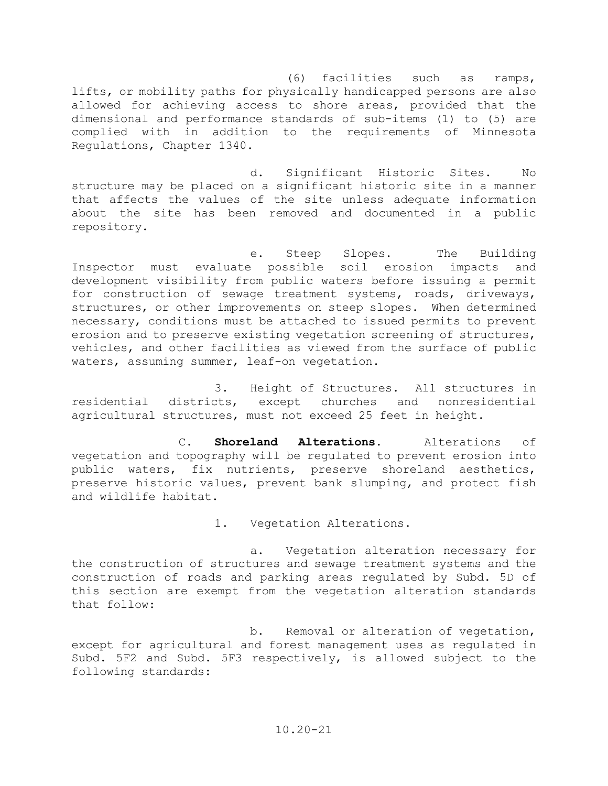(6) facilities such as ramps, lifts, or mobility paths for physically handicapped persons are also allowed for achieving access to shore areas, provided that the dimensional and performance standards of sub-items (1) to (5) are complied with in addition to the requirements of Minnesota Regulations, Chapter 1340.

d. Significant Historic Sites. No structure may be placed on a significant historic site in a manner that affects the values of the site unless adequate information about the site has been removed and documented in a public repository.

e. Steep Slopes. The Building Inspector must evaluate possible soil erosion impacts and development visibility from public waters before issuing a permit for construction of sewage treatment systems, roads, driveways, structures, or other improvements on steep slopes. When determined necessary, conditions must be attached to issued permits to prevent erosion and to preserve existing vegetation screening of structures, vehicles, and other facilities as viewed from the surface of public waters, assuming summer, leaf-on vegetation.

3. Height of Structures. All structures in residential districts, except churches and nonresidential agricultural structures, must not exceed 25 feet in height.

C. **Shoreland Alterations**. Alterations of vegetation and topography will be regulated to prevent erosion into public waters, fix nutrients, preserve shoreland aesthetics, preserve historic values, prevent bank slumping, and protect fish and wildlife habitat.

1. Vegetation Alterations.

a. Vegetation alteration necessary for the construction of structures and sewage treatment systems and the construction of roads and parking areas regulated by Subd. 5D of this section are exempt from the vegetation alteration standards that follow:

b. Removal or alteration of vegetation, except for agricultural and forest management uses as regulated in Subd. 5F2 and Subd. 5F3 respectively, is allowed subject to the following standards: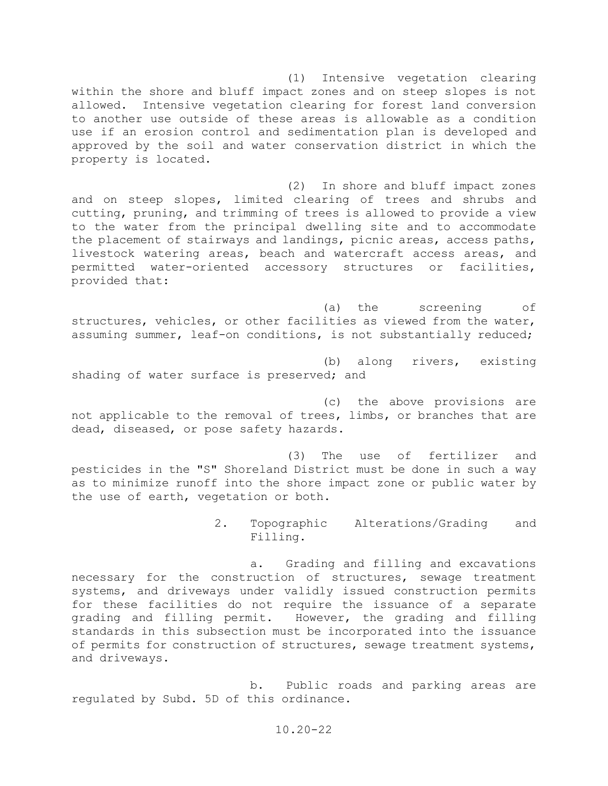(1) Intensive vegetation clearing within the shore and bluff impact zones and on steep slopes is not allowed. Intensive vegetation clearing for forest land conversion to another use outside of these areas is allowable as a condition use if an erosion control and sedimentation plan is developed and approved by the soil and water conservation district in which the property is located.

(2) In shore and bluff impact zones and on steep slopes, limited clearing of trees and shrubs and cutting, pruning, and trimming of trees is allowed to provide a view to the water from the principal dwelling site and to accommodate the placement of stairways and landings, picnic areas, access paths, livestock watering areas, beach and watercraft access areas, and permitted water-oriented accessory structures or facilities, provided that:

(a) the screening of structures, vehicles, or other facilities as viewed from the water, assuming summer, leaf-on conditions, is not substantially reduced;

(b) along rivers, existing shading of water surface is preserved; and

(c) the above provisions are not applicable to the removal of trees, limbs, or branches that are dead, diseased, or pose safety hazards.

(3) The use of fertilizer and pesticides in the "S" Shoreland District must be done in such a way as to minimize runoff into the shore impact zone or public water by the use of earth, vegetation or both.

> 2. Topographic Alterations/Grading and Filling.

a. Grading and filling and excavations necessary for the construction of structures, sewage treatment systems, and driveways under validly issued construction permits for these facilities do not require the issuance of a separate<br>grading and filling permit. However, the grading and filling However, the grading and filling standards in this subsection must be incorporated into the issuance of permits for construction of structures, sewage treatment systems, and driveways.

b. Public roads and parking areas are regulated by Subd. 5D of this ordinance.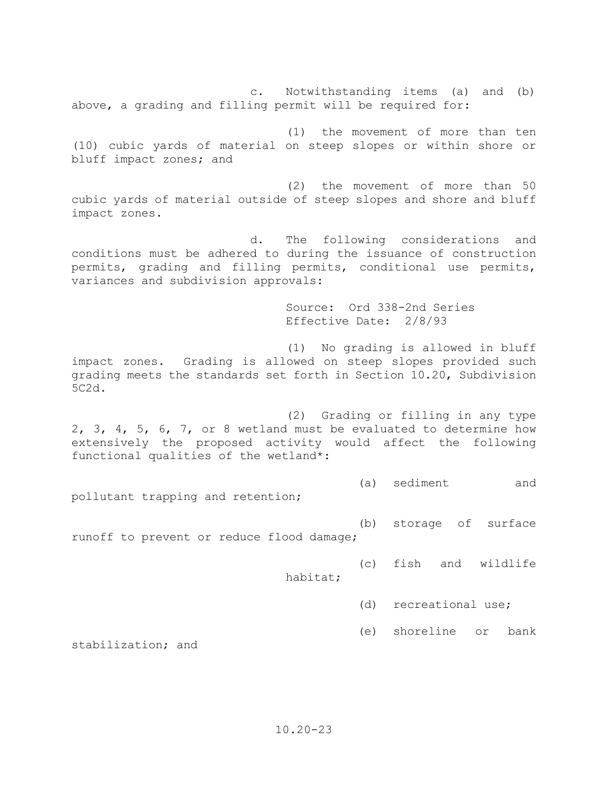c. Notwithstanding items (a) and (b) above, a grading and filling permit will be required for:

(1) the movement of more than ten (10) cubic yards of material on steep slopes or within shore or bluff impact zones; and

(2) the movement of more than 50 cubic yards of material outside of steep slopes and shore and bluff impact zones.

d. The following considerations and conditions must be adhered to during the issuance of construction permits, grading and filling permits, conditional use permits, variances and subdivision approvals:

> Source: Ord 338-2nd Series Effective Date: 2/8/93

(1) No grading is allowed in bluff impact zones. Grading is allowed on steep slopes provided such grading meets the standards set forth in Section 10.20, Subdivision 5C2d.

(2) Grading or filling in any type 2, 3, 4, 5, 6, 7, or 8 wetland must be evaluated to determine how extensively the proposed activity would affect the following functional qualities of the wetland\*:

(a) sediment and

pollutant trapping and retention;

(b) storage of surface

runoff to prevent or reduce flood damage;

(c) fish and wildlife

habitat;

- (d) recreational use;
- (e) shoreline or bank

stabilization; and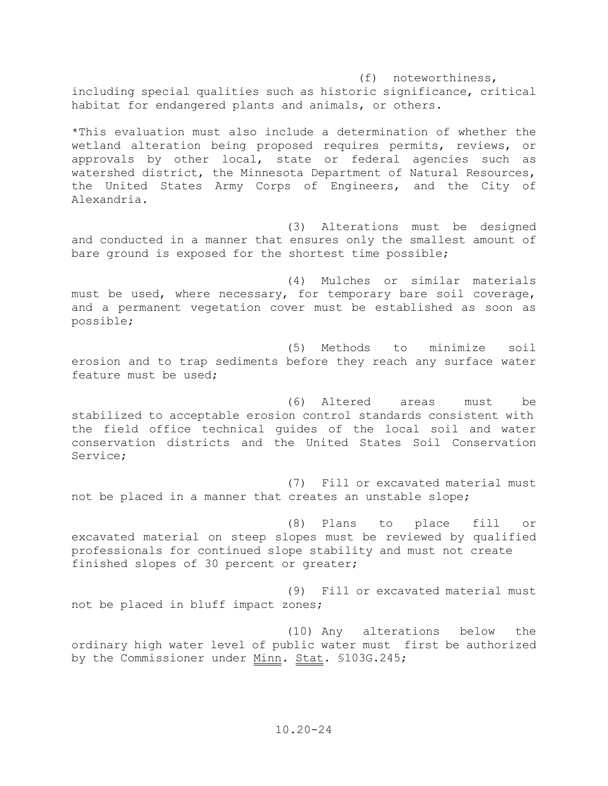(f) noteworthiness, including special qualities such as historic significance, critical habitat for endangered plants and animals, or others.

\*This evaluation must also include a determination of whether the wetland alteration being proposed requires permits, reviews, or approvals by other local, state or federal agencies such as watershed district, the Minnesota Department of Natural Resources, the United States Army Corps of Engineers, and the City of Alexandria.

 (3) Alterations must be designed and conducted in a manner that ensures only the smallest amount of bare ground is exposed for the shortest time possible;

 (4) Mulches or similar materials must be used, where necessary, for temporary bare soil coverage, and a permanent vegetation cover must be established as soon as possible;

 (5) Methods to minimize soil erosion and to trap sediments before they reach any surface water feature must be used;

 (6) Altered areas must be stabilized to acceptable erosion control standards consistent with the field office technical guides of the local soil and water conservation districts and the United States Soil Conservation Service;

 (7) Fill or excavated material must not be placed in a manner that creates an unstable slope;

 (8) Plans to place fill or excavated material on steep slopes must be reviewed by qualified professionals for continued slope stability and must not create finished slopes of 30 percent or greater;

 (9) Fill or excavated material must not be placed in bluff impact zones;

 (10) Any alterations below the ordinary high water level of public water must first be authorized by the Commissioner under Minn. Stat. \$103G.245;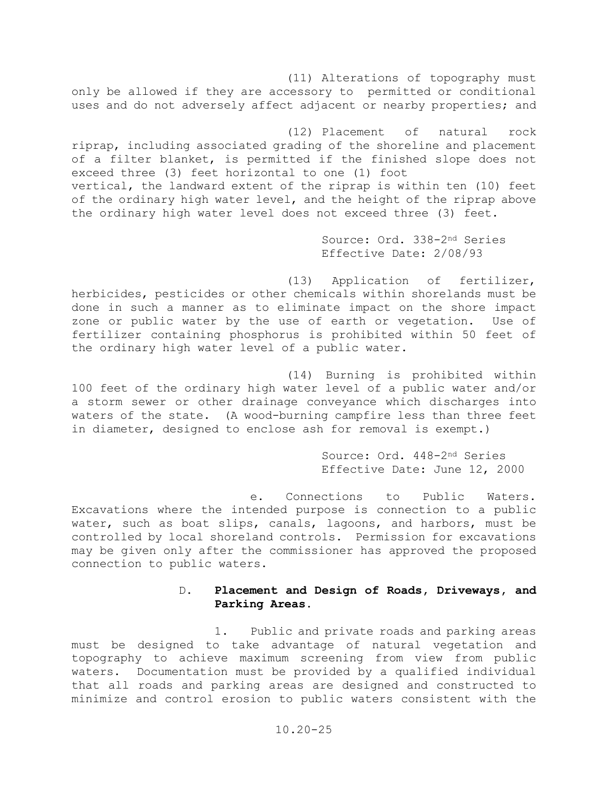(11) Alterations of topography must only be allowed if they are accessory to permitted or conditional uses and do not adversely affect adjacent or nearby properties; and

(12) Placement of natural rock riprap, including associated grading of the shoreline and placement of a filter blanket, is permitted if the finished slope does not exceed three (3) feet horizontal to one (1) foot vertical, the landward extent of the riprap is within ten (10) feet of the ordinary high water level, and the height of the riprap above the ordinary high water level does not exceed three (3) feet.

> Source: Ord. 338-2nd Series Effective Date: 2/08/93

(13) Application of fertilizer, herbicides, pesticides or other chemicals within shorelands must be done in such a manner as to eliminate impact on the shore impact zone or public water by the use of earth or vegetation. Use of fertilizer containing phosphorus is prohibited within 50 feet of the ordinary high water level of a public water.

(14) Burning is prohibited within 100 feet of the ordinary high water level of a public water and/or a storm sewer or other drainage conveyance which discharges into waters of the state. (A wood-burning campfire less than three feet in diameter, designed to enclose ash for removal is exempt.)

> Source: Ord. 448-2nd Series Effective Date: June 12, 2000

e. Connections to Public Waters. Excavations where the intended purpose is connection to a public water, such as boat slips, canals, lagoons, and harbors, must be controlled by local shoreland controls. Permission for excavations may be given only after the commissioner has approved the proposed connection to public waters.

## D. **Placement and Design of Roads, Driveways, and Parking Areas.**

1. Public and private roads and parking areas must be designed to take advantage of natural vegetation and topography to achieve maximum screening from view from public waters. Documentation must be provided by a qualified individual that all roads and parking areas are designed and constructed to minimize and control erosion to public waters consistent with the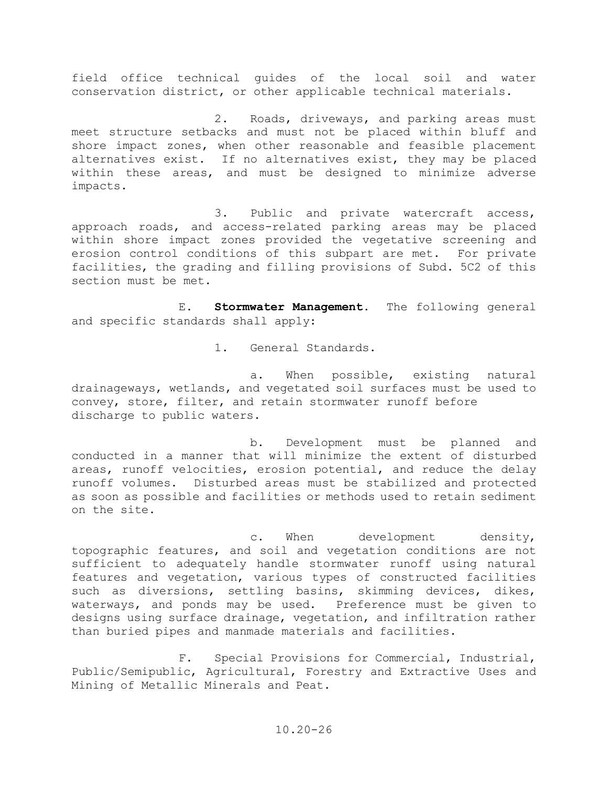field office technical guides of the local soil and water conservation district, or other applicable technical materials.

2. Roads, driveways, and parking areas must meet structure setbacks and must not be placed within bluff and shore impact zones, when other reasonable and feasible placement alternatives exist. If no alternatives exist, they may be placed within these areas, and must be designed to minimize adverse impacts.

3. Public and private watercraft access, approach roads, and access-related parking areas may be placed within shore impact zones provided the vegetative screening and erosion control conditions of this subpart are met. For private facilities, the grading and filling provisions of Subd. 5C2 of this section must be met.

E. **Stormwater Management**. The following general and specific standards shall apply:

1. General Standards.

a. When possible, existing natural drainageways, wetlands, and vegetated soil surfaces must be used to convey, store, filter, and retain stormwater runoff before discharge to public waters.

b. Development must be planned and conducted in a manner that will minimize the extent of disturbed areas, runoff velocities, erosion potential, and reduce the delay runoff volumes. Disturbed areas must be stabilized and protected as soon as possible and facilities or methods used to retain sediment on the site.

c. When development density, topographic features, and soil and vegetation conditions are not sufficient to adequately handle stormwater runoff using natural features and vegetation, various types of constructed facilities such as diversions, settling basins, skimming devices, dikes, waterways, and ponds may be used. Preference must be given to designs using surface drainage, vegetation, and infiltration rather than buried pipes and manmade materials and facilities.

F. Special Provisions for Commercial, Industrial, Public/Semipublic, Agricultural, Forestry and Extractive Uses and Mining of Metallic Minerals and Peat.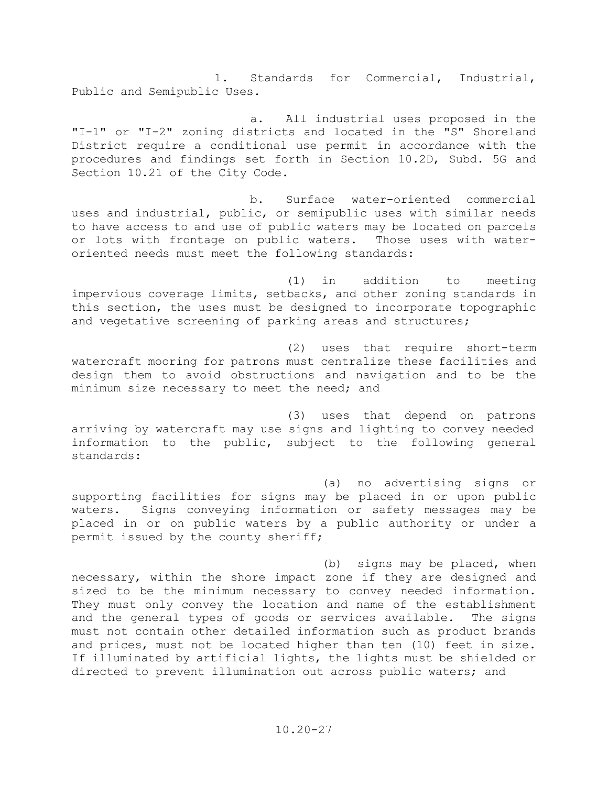1. Standards for Commercial, Industrial, Public and Semipublic Uses.

a. All industrial uses proposed in the "I-1" or "I-2" zoning districts and located in the "S" Shoreland District require a conditional use permit in accordance with the procedures and findings set forth in Section 10.2D, Subd. 5G and Section 10.21 of the City Code.

b. Surface water-oriented commercial uses and industrial, public, or semipublic uses with similar needs to have access to and use of public waters may be located on parcels or lots with frontage on public waters. Those uses with wateroriented needs must meet the following standards:

(1) in addition to meeting impervious coverage limits, setbacks, and other zoning standards in this section, the uses must be designed to incorporate topographic and vegetative screening of parking areas and structures;

(2) uses that require short-term watercraft mooring for patrons must centralize these facilities and design them to avoid obstructions and navigation and to be the minimum size necessary to meet the need; and

(3) uses that depend on patrons arriving by watercraft may use signs and lighting to convey needed information to the public, subject to the following general standards:

(a) no advertising signs or supporting facilities for signs may be placed in or upon public waters. Signs conveying information or safety messages may be placed in or on public waters by a public authority or under a permit issued by the county sheriff;

(b) signs may be placed, when necessary, within the shore impact zone if they are designed and sized to be the minimum necessary to convey needed information. They must only convey the location and name of the establishment and the general types of goods or services available. The signs must not contain other detailed information such as product brands and prices, must not be located higher than ten (10) feet in size. If illuminated by artificial lights, the lights must be shielded or directed to prevent illumination out across public waters; and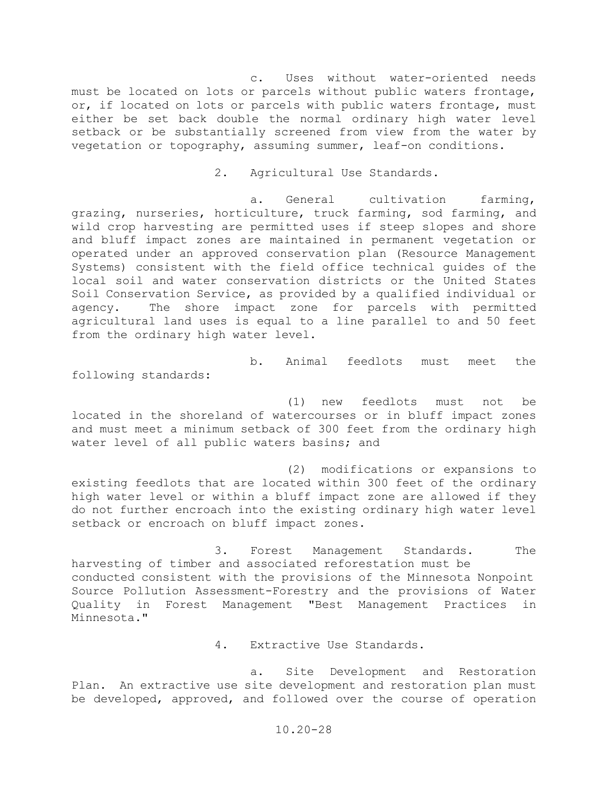c. Uses without water-oriented needs must be located on lots or parcels without public waters frontage, or, if located on lots or parcels with public waters frontage, must either be set back double the normal ordinary high water level setback or be substantially screened from view from the water by vegetation or topography, assuming summer, leaf-on conditions.

2. Agricultural Use Standards.

a. General cultivation farming, grazing, nurseries, horticulture, truck farming, sod farming, and wild crop harvesting are permitted uses if steep slopes and shore and bluff impact zones are maintained in permanent vegetation or operated under an approved conservation plan (Resource Management Systems) consistent with the field office technical guides of the local soil and water conservation districts or the United States Soil Conservation Service, as provided by a qualified individual or agency. The shore impact zone for parcels with permitted agricultural land uses is equal to a line parallel to and 50 feet from the ordinary high water level.

following standards:

(1) new feedlots must not be located in the shoreland of watercourses or in bluff impact zones and must meet a minimum setback of 300 feet from the ordinary high water level of all public waters basins; and

b. Animal feedlots must meet the

(2) modifications or expansions to existing feedlots that are located within 300 feet of the ordinary high water level or within a bluff impact zone are allowed if they do not further encroach into the existing ordinary high water level setback or encroach on bluff impact zones.

3. Forest Management Standards. The harvesting of timber and associated reforestation must be conducted consistent with the provisions of the Minnesota Nonpoint Source Pollution Assessment-Forestry and the provisions of Water Quality in Forest Management "Best Management Practices in Minnesota."

4. Extractive Use Standards.

a. Site Development and Restoration Plan. An extractive use site development and restoration plan must be developed, approved, and followed over the course of operation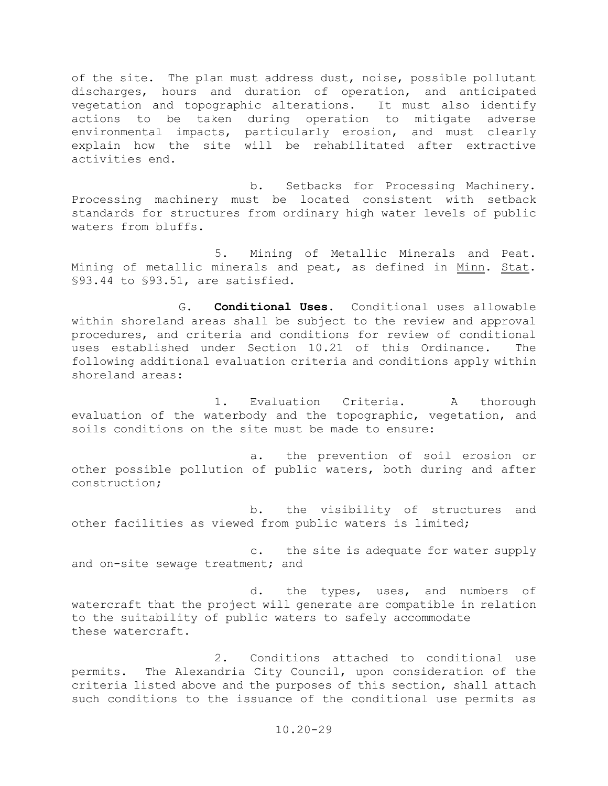of the site. The plan must address dust, noise, possible pollutant discharges, hours and duration of operation, and anticipated vegetation and topographic alterations. It must also identify actions to be taken during operation to mitigate adverse environmental impacts, particularly erosion, and must clearly explain how the site will be rehabilitated after extractive activities end.

 b. Setbacks for Processing Machinery. Processing machinery must be located consistent with setback standards for structures from ordinary high water levels of public waters from bluffs.

 5. Mining of Metallic Minerals and Peat. Mining of metallic minerals and peat, as defined in Minn. Stat. §93.44 to §93.51, are satisfied.

 G. **Conditional Uses**. Conditional uses allowable within shoreland areas shall be subject to the review and approval procedures, and criteria and conditions for review of conditional uses established under Section 10.21 of this Ordinance. The following additional evaluation criteria and conditions apply within shoreland areas:

 1. Evaluation Criteria. A thorough evaluation of the waterbody and the topographic, vegetation, and soils conditions on the site must be made to ensure:

 a. the prevention of soil erosion or other possible pollution of public waters, both during and after construction;

 b. the visibility of structures and other facilities as viewed from public waters is limited;

 c. the site is adequate for water supply and on-site sewage treatment; and

 d. the types, uses, and numbers of watercraft that the project will generate are compatible in relation to the suitability of public waters to safely accommodate these watercraft.

 2. Conditions attached to conditional use permits. The Alexandria City Council, upon consideration of the criteria listed above and the purposes of this section, shall attach such conditions to the issuance of the conditional use permits as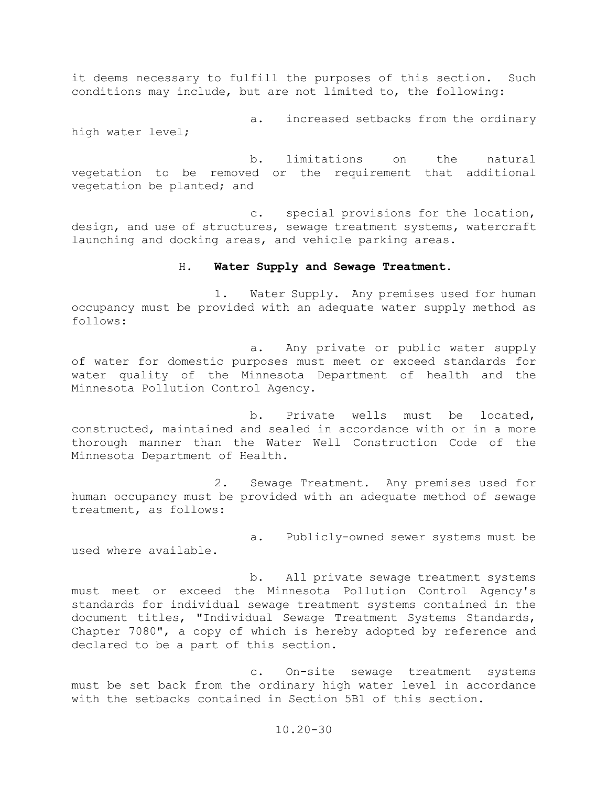it deems necessary to fulfill the purposes of this section. Such conditions may include, but are not limited to, the following:

a. increased setbacks from the ordinary high water level;

b. limitations on the natural vegetation to be removed or the requirement that additional vegetation be planted; and

c. special provisions for the location, design, and use of structures, sewage treatment systems, watercraft launching and docking areas, and vehicle parking areas.

#### H. **Water Supply and Sewage Treatment.**

1. Water Supply. Any premises used for human occupancy must be provided with an adequate water supply method as follows:

a. Any private or public water supply of water for domestic purposes must meet or exceed standards for water quality of the Minnesota Department of health and the Minnesota Pollution Control Agency.

b. Private wells must be located, constructed, maintained and sealed in accordance with or in a more thorough manner than the Water Well Construction Code of the Minnesota Department of Health.

2. Sewage Treatment. Any premises used for human occupancy must be provided with an adequate method of sewage treatment, as follows:

a. Publicly-owned sewer systems must be used where available.

b. All private sewage treatment systems must meet or exceed the Minnesota Pollution Control Agency's standards for individual sewage treatment systems contained in the document titles, "Individual Sewage Treatment Systems Standards, Chapter 7080", a copy of which is hereby adopted by reference and declared to be a part of this section.

c. On-site sewage treatment systems must be set back from the ordinary high water level in accordance with the setbacks contained in Section 5B1 of this section.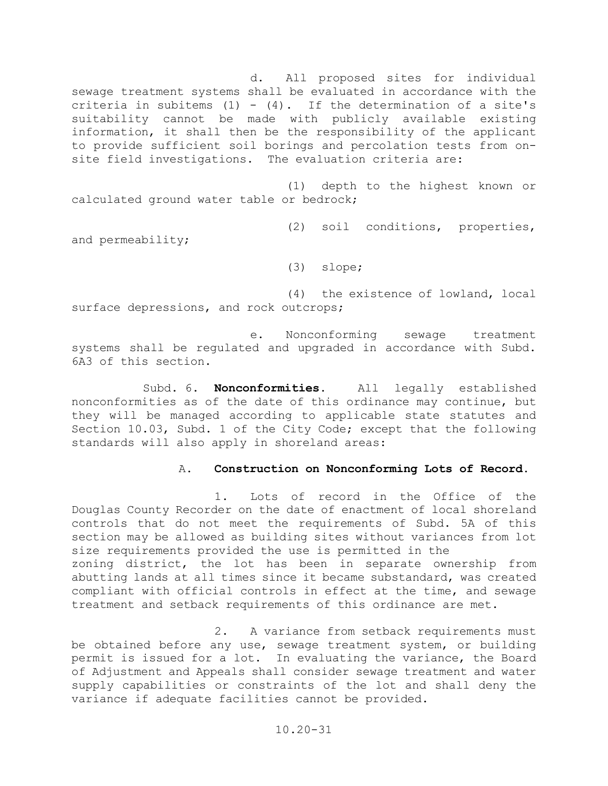d. All proposed sites for individual sewage treatment systems shall be evaluated in accordance with the criteria in subitems  $(1) - (4)$ . If the determination of a site's suitability cannot be made with publicly available existing information, it shall then be the responsibility of the applicant to provide sufficient soil borings and percolation tests from onsite field investigations. The evaluation criteria are:

(1) depth to the highest known or calculated ground water table or bedrock;

(2) soil conditions, properties,

and permeability;

(3) slope;

(4) the existence of lowland, local surface depressions, and rock outcrops;

e. Nonconforming sewage treatment systems shall be regulated and upgraded in accordance with Subd. 6A3 of this section.

Subd. 6. **Nonconformities.** All legally established nonconformities as of the date of this ordinance may continue, but they will be managed according to applicable state statutes and Section 10.03, Subd. 1 of the City Code; except that the following standards will also apply in shoreland areas:

## A. **Construction on Nonconforming Lots of Record.**

1. Lots of record in the Office of the Douglas County Recorder on the date of enactment of local shoreland controls that do not meet the requirements of Subd. 5A of this section may be allowed as building sites without variances from lot size requirements provided the use is permitted in the zoning district, the lot has been in separate ownership from abutting lands at all times since it became substandard, was created compliant with official controls in effect at the time, and sewage treatment and setback requirements of this ordinance are met.

2. A variance from setback requirements must be obtained before any use, sewage treatment system, or building permit is issued for a lot. In evaluating the variance, the Board of Adjustment and Appeals shall consider sewage treatment and water supply capabilities or constraints of the lot and shall deny the variance if adequate facilities cannot be provided.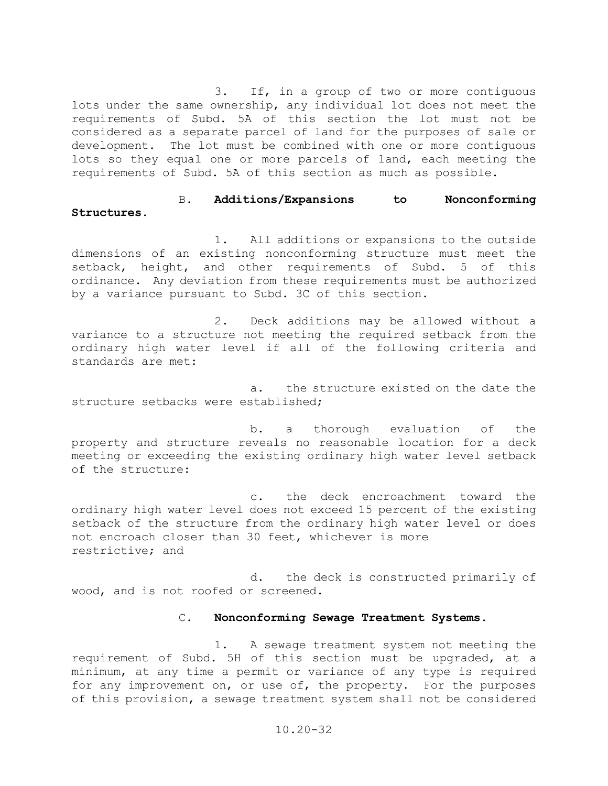3. If, in a group of two or more contiguous lots under the same ownership, any individual lot does not meet the requirements of Subd. 5A of this section the lot must not be considered as a separate parcel of land for the purposes of sale or development. The lot must be combined with one or more contiguous lots so they equal one or more parcels of land, each meeting the requirements of Subd. 5A of this section as much as possible.

## B. **Additions/Expansions to Nonconforming Structures.**

1. All additions or expansions to the outside dimensions of an existing nonconforming structure must meet the setback, height, and other requirements of Subd. 5 of this and other requirements of Subd. 5 of this ordinance. Any deviation from these requirements must be authorized by a variance pursuant to Subd. 3C of this section.

2. Deck additions may be allowed without a variance to a structure not meeting the required setback from the ordinary high water level if all of the following criteria and standards are met:

a. the structure existed on the date the structure setbacks were established;

b. a thorough evaluation of the property and structure reveals no reasonable location for a deck meeting or exceeding the existing ordinary high water level setback of the structure:

c. the deck encroachment toward the ordinary high water level does not exceed 15 percent of the existing setback of the structure from the ordinary high water level or does not encroach closer than 30 feet, whichever is more restrictive; and

d. the deck is constructed primarily of wood, and is not roofed or screened.

## C. **Nonconforming Sewage Treatment Systems.**

1. A sewage treatment system not meeting the requirement of Subd. 5H of this section must be upgraded, at a minimum, at any time a permit or variance of any type is required for any improvement on, or use of, the property. For the purposes of this provision, a sewage treatment system shall not be considered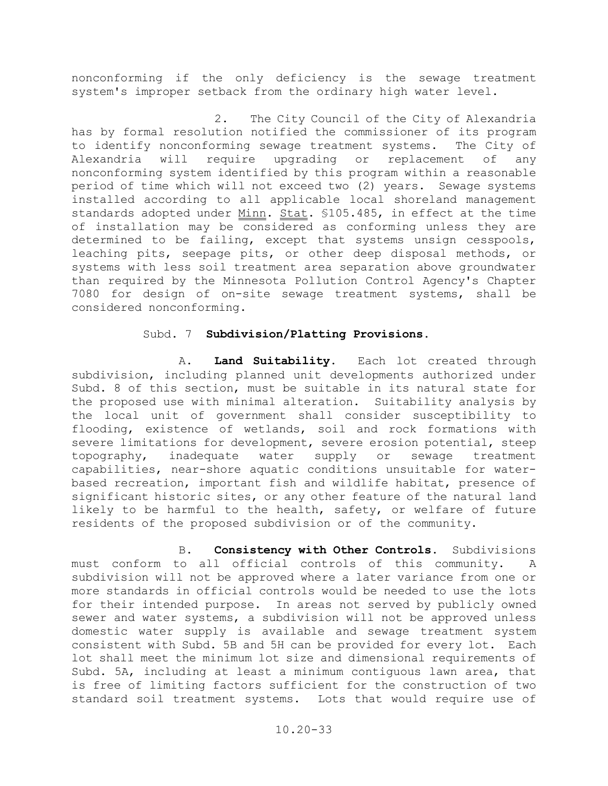nonconforming if the only deficiency is the sewage treatment system's improper setback from the ordinary high water level.

 2. The City Council of the City of Alexandria has by formal resolution notified the commissioner of its program to identify nonconforming sewage treatment systems. The City of Alexandria will require upgrading or replacement of any nonconforming system identified by this program within a reasonable period of time which will not exceed two (2) years. Sewage systems installed according to all applicable local shoreland management standards adopted under Minn. Stat. §105.485, in effect at the time of installation may be considered as conforming unless they are determined to be failing, except that systems unsign cesspools, leaching pits, seepage pits, or other deep disposal methods, or systems with less soil treatment area separation above groundwater than required by the Minnesota Pollution Control Agency's Chapter 7080 for design of on-site sewage treatment systems, shall be considered nonconforming.

## Subd. 7 **Subdivision/Platting Provisions.**

 A. **Land Suitability.** Each lot created through subdivision, including planned unit developments authorized under Subd. 8 of this section, must be suitable in its natural state for the proposed use with minimal alteration. Suitability analysis by the local unit of government shall consider susceptibility to flooding, existence of wetlands, soil and rock formations with severe limitations for development, severe erosion potential, steep<br>topography, inadequate water supply or sewage treatment topography, inadequate water supply or sewage treatment capabilities, near-shore aquatic conditions unsuitable for waterbased recreation, important fish and wildlife habitat, presence of significant historic sites, or any other feature of the natural land likely to be harmful to the health, safety, or welfare of future residents of the proposed subdivision or of the community.

 B. **Consistency with Other Controls.** Subdivisions must conform to all official controls of this community. A subdivision will not be approved where a later variance from one or more standards in official controls would be needed to use the lots for their intended purpose. In areas not served by publicly owned sewer and water systems, a subdivision will not be approved unless domestic water supply is available and sewage treatment system consistent with Subd. 5B and 5H can be provided for every lot. Each lot shall meet the minimum lot size and dimensional requirements of Subd. 5A, including at least a minimum contiguous lawn area, that is free of limiting factors sufficient for the construction of two standard soil treatment systems. Lots that would require use of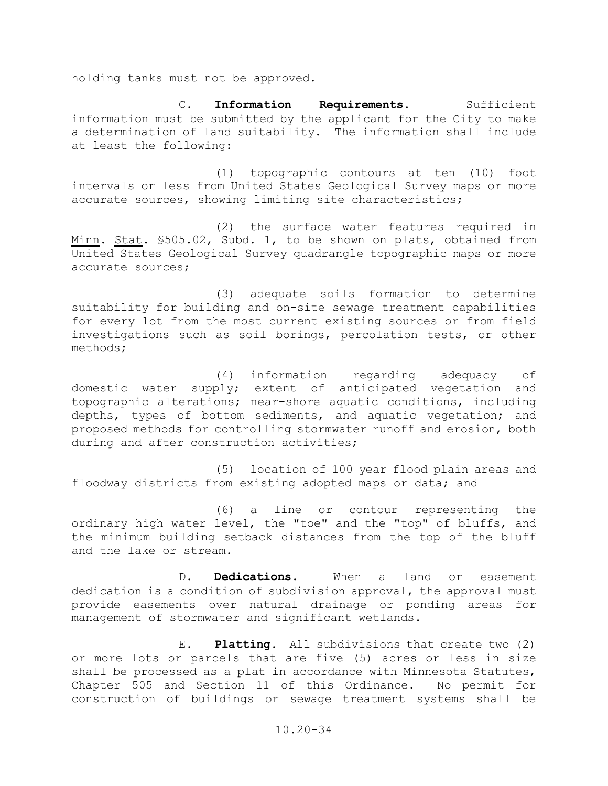holding tanks must not be approved.

C. Information Requirements. Sufficient information must be submitted by the applicant for the City to make a determination of land suitability. The information shall include at least the following:

 (1) topographic contours at ten (10) foot intervals or less from United States Geological Survey maps or more accurate sources, showing limiting site characteristics;

 (2) the surface water features required in Minn. Stat. §505.02, Subd. 1, to be shown on plats, obtained from United States Geological Survey quadrangle topographic maps or more accurate sources;

 (3) adequate soils formation to determine suitability for building and on-site sewage treatment capabilities for every lot from the most current existing sources or from field investigations such as soil borings, percolation tests, or other methods;

 (4) information regarding adequacy of domestic water supply; extent of anticipated vegetation and topographic alterations; near-shore aquatic conditions, including depths, types of bottom sediments, and aquatic vegetation; and proposed methods for controlling stormwater runoff and erosion, both during and after construction activities;

 (5) location of 100 year flood plain areas and floodway districts from existing adopted maps or data; and

 (6) a line or contour representing the ordinary high water level, the "toe" and the "top" of bluffs, and the minimum building setback distances from the top of the bluff and the lake or stream.

 D. **Dedications**. When a land or easement dedication is a condition of subdivision approval, the approval must provide easements over natural drainage or ponding areas for management of stormwater and significant wetlands.

 E. **Platting.** All subdivisions that create two (2) or more lots or parcels that are five (5) acres or less in size shall be processed as a plat in accordance with Minnesota Statutes, Chapter 505 and Section 11 of this Ordinance. No permit for construction of buildings or sewage treatment systems shall be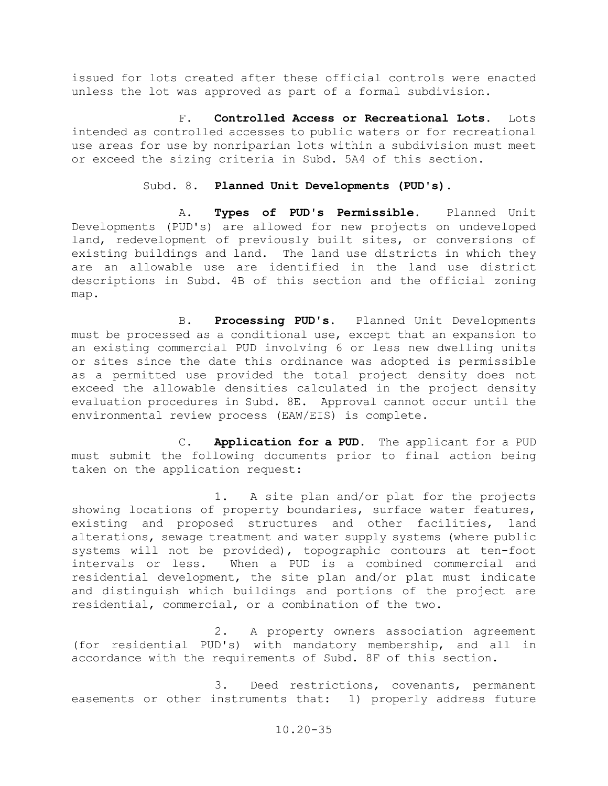issued for lots created after these official controls were enacted unless the lot was approved as part of a formal subdivision.

F. **Controlled Access or Recreational Lots.** Lots intended as controlled accesses to public waters or for recreational use areas for use by nonriparian lots within a subdivision must meet or exceed the sizing criteria in Subd. 5A4 of this section.

### Subd. 8. **Planned Unit Developments (PUD's).**

A. **Types of PUD's Permissible.** Planned Unit Developments (PUD's) are allowed for new projects on undeveloped land, redevelopment of previously built sites, or conversions of existing buildings and land. The land use districts in which they are an allowable use are identified in the land use district descriptions in Subd. 4B of this section and the official zoning map.

B. **Processing PUD's.** Planned Unit Developments must be processed as a conditional use, except that an expansion to an existing commercial PUD involving 6 or less new dwelling units or sites since the date this ordinance was adopted is permissible as a permitted use provided the total project density does not exceed the allowable densities calculated in the project density evaluation procedures in Subd. 8E. Approval cannot occur until the environmental review process (EAW/EIS) is complete.

C. **Application for a PUD.** The applicant for a PUD must submit the following documents prior to final action being taken on the application request:

1. A site plan and/or plat for the projects showing locations of property boundaries, surface water features,<br>existing and proposed structures and other facilities, land existing and proposed structures and other facilities, alterations, sewage treatment and water supply systems (where public systems will not be provided), topographic contours at ten-foot<br>intervals or less. When a PUD is a combined commercial and When a PUD is a combined commercial and residential development, the site plan and/or plat must indicate and distinguish which buildings and portions of the project are residential, commercial, or a combination of the two.

2. A property owners association agreement (for residential PUD's) with mandatory membership, and all in accordance with the requirements of Subd. 8F of this section.

3. Deed restrictions, covenants, permanent easements or other instruments that: 1) properly address future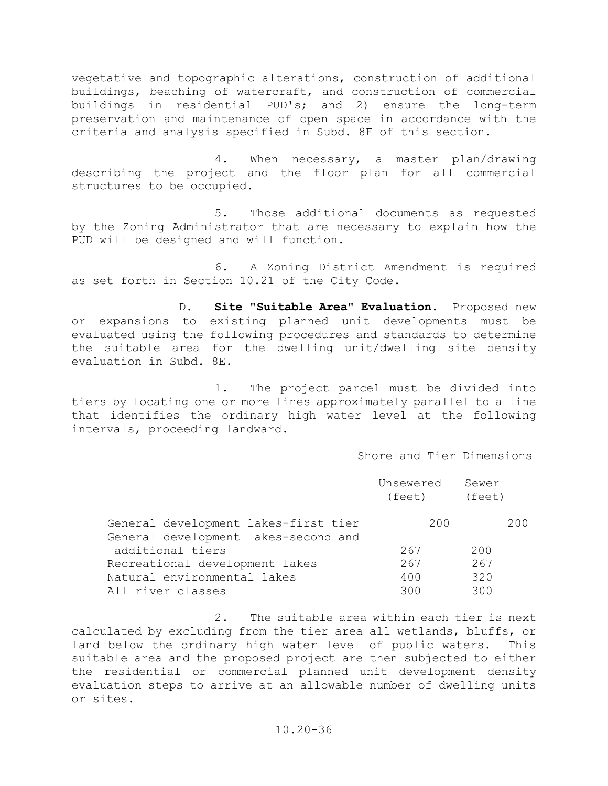vegetative and topographic alterations, construction of additional buildings, beaching of watercraft, and construction of commercial buildings in residential PUD's; and 2) ensure the long-term preservation and maintenance of open space in accordance with the criteria and analysis specified in Subd. 8F of this section.

4. When necessary, a master plan/drawing describing the project and the floor plan for all commercial structures to be occupied.

5. Those additional documents as requested by the Zoning Administrator that are necessary to explain how the PUD will be designed and will function.

6. A Zoning District Amendment is required as set forth in Section 10.21 of the City Code.

D. **Site "Suitable Area" Evaluation.** Proposed new or expansions to existing planned unit developments must be evaluated using the following procedures and standards to determine the suitable area for the dwelling unit/dwelling site density evaluation in Subd. 8E.

1. The project parcel must be divided into tiers by locating one or more lines approximately parallel to a line that identifies the ordinary high water level at the following intervals, proceeding landward.

### Shoreland Tier Dimensions

|                                                                              | Unsewered<br>(feet) | Sewer<br>(feet) |
|------------------------------------------------------------------------------|---------------------|-----------------|
| General development lakes-first tier<br>General development lakes-second and | 200                 | 200             |
| additional tiers                                                             | 267                 | 200             |
| Recreational development lakes                                               | 267                 | 267             |
| Natural environmental lakes<br>All river classes                             | 400<br>300          | 320<br>300      |

2. The suitable area within each tier is next calculated by excluding from the tier area all wetlands, bluffs, or land below the ordinary high water level of public waters. This suitable area and the proposed project are then subjected to either the residential or commercial planned unit development density evaluation steps to arrive at an allowable number of dwelling units or sites.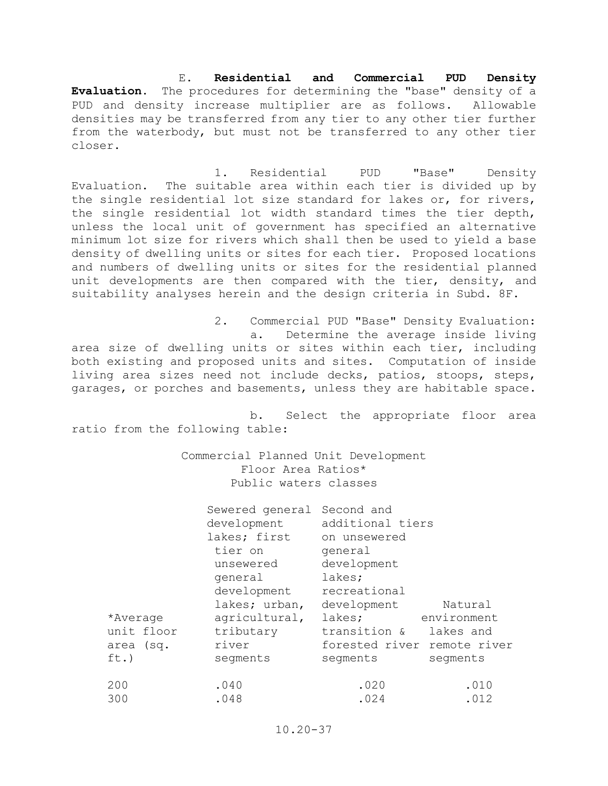E. **Residential and Commercial PUD Density Evaluation.** The procedures for determining the "base" density of a PUD and density increase multiplier are as follows. Allowable densities may be transferred from any tier to any other tier further from the waterbody, but must not be transferred to any other tier closer.

1. Residential PUD "Base" Density Evaluation. The suitable area within each tier is divided up by the single residential lot size standard for lakes or, for rivers, the single residential lot width standard times the tier depth, unless the local unit of government has specified an alternative minimum lot size for rivers which shall then be used to yield a base density of dwelling units or sites for each tier. Proposed locations and numbers of dwelling units or sites for the residential planned unit developments are then compared with the tier, density, and suitability analyses herein and the design criteria in Subd. 8F.

2. Commercial PUD "Base" Density Evaluation: a. Determine the average inside living area size of dwelling units or sites within each tier, including both existing and proposed units and sites. Computation of inside living area sizes need not include decks, patios, stoops, steps, garages, or porches and basements, unless they are habitable space.

b. Select the appropriate floor area ratio from the following table:

> Commercial Planned Unit Development Floor Area Ratios\* Public waters classes

|            | Sewered general<br>development<br>lakes; first<br>tier on<br>unsewered<br>general<br>development | Second and<br>additional tiers<br>on unsewered<br>general<br>development<br>lakes;<br>recreational |             |
|------------|--------------------------------------------------------------------------------------------------|----------------------------------------------------------------------------------------------------|-------------|
|            | lakes; urban,                                                                                    | development                                                                                        | Natural     |
| *Average   | agricultural,                                                                                    | lakes;                                                                                             | environment |
| unit floor | tributary                                                                                        | transition &                                                                                       | lakes and   |
| area (sq.  | river                                                                                            | forested river remote river                                                                        |             |
| ft.)       | segments                                                                                         | segments                                                                                           | segments    |
| 200        | .040                                                                                             | .020                                                                                               | .010        |
| 300        | .048                                                                                             | .024                                                                                               | .012        |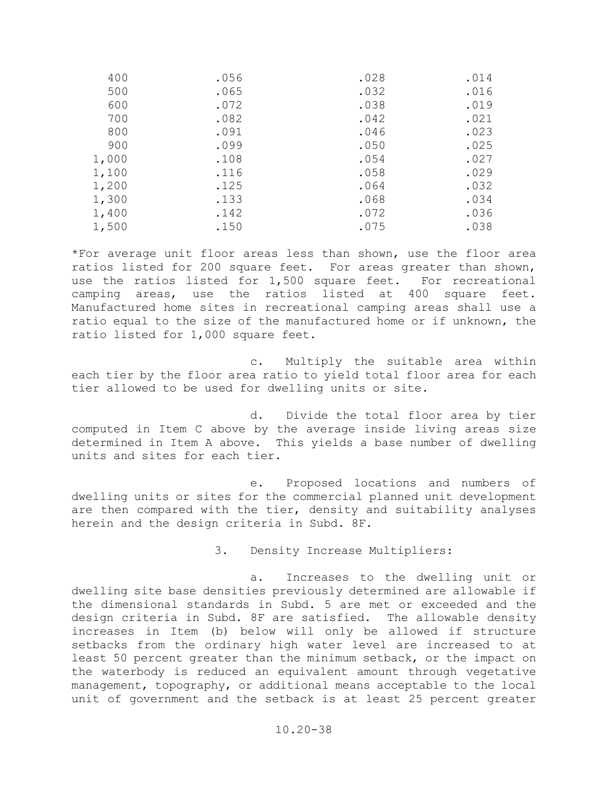| 400   | .056 | .028 | .014 |
|-------|------|------|------|
| 500   | .065 | .032 | .016 |
| 600   | .072 | .038 | .019 |
| 700   | .082 | .042 | .021 |
| 800   | .091 | .046 | .023 |
| 900   | .099 | .050 | .025 |
| 1,000 | .108 | .054 | .027 |
| 1,100 | .116 | .058 | .029 |
| 1,200 | .125 | .064 | .032 |
| 1,300 | .133 | .068 | .034 |
| 1,400 | .142 | .072 | .036 |
| 1,500 | .150 | .075 | .038 |
|       |      |      |      |

\*For average unit floor areas less than shown, use the floor area ratios listed for 200 square feet. For areas greater than shown, use the ratios listed for 1,500 square feet. For recreational camping areas, use the ratios listed at 400 square feet. Manufactured home sites in recreational camping areas shall use a ratio equal to the size of the manufactured home or if unknown, the ratio listed for 1,000 square feet.

c. Multiply the suitable area within each tier by the floor area ratio to yield total floor area for each tier allowed to be used for dwelling units or site.

d. Divide the total floor area by tier computed in Item C above by the average inside living areas size determined in Item A above. This yields a base number of dwelling units and sites for each tier.

e. Proposed locations and numbers of dwelling units or sites for the commercial planned unit development are then compared with the tier, density and suitability analyses herein and the design criteria in Subd. 8F.

3. Density Increase Multipliers:

a. Increases to the dwelling unit or dwelling site base densities previously determined are allowable if the dimensional standards in Subd. 5 are met or exceeded and the design criteria in Subd. 8F are satisfied. The allowable density increases in Item (b) below will only be allowed if structure setbacks from the ordinary high water level are increased to at least 50 percent greater than the minimum setback, or the impact on the waterbody is reduced an equivalent amount through vegetative management, topography, or additional means acceptable to the local unit of government and the setback is at least 25 percent greater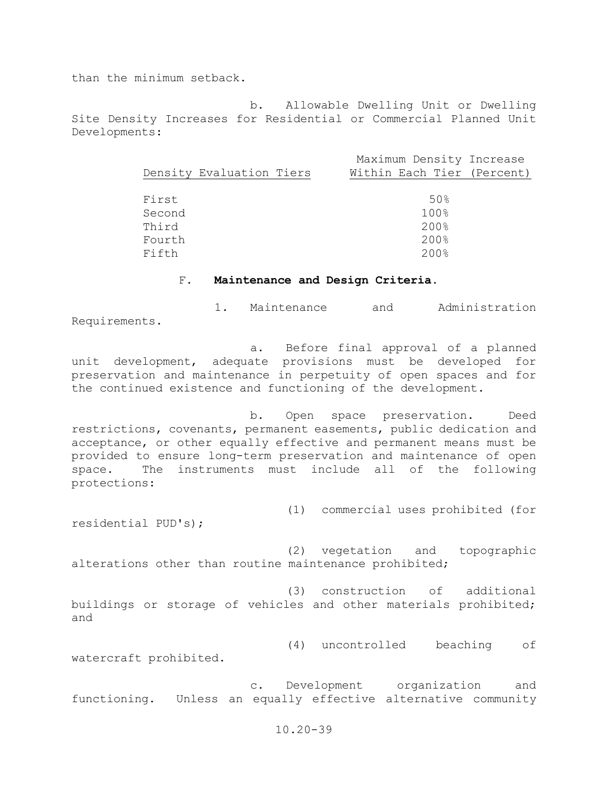than the minimum setback.

 b. Allowable Dwelling Unit or Dwelling Site Density Increases for Residential or Commercial Planned Unit Developments:

|                          | Maximum Density Increase   |
|--------------------------|----------------------------|
| Density Evaluation Tiers | Within Each Tier (Percent) |
|                          |                            |
| First                    | 50%                        |
| Second                   | 100%                       |
| Third                    | 200%                       |
| Fourth                   | 200%                       |
| Fifth                    | 200%                       |
|                          |                            |

#### F. **Maintenance and Design Criteria.**

 1. Maintenance and Administration Requirements.

 a. Before final approval of a planned unit development, adequate provisions must be developed for preservation and maintenance in perpetuity of open spaces and for the continued existence and functioning of the development.

 b. Open space preservation. Deed restrictions, covenants, permanent easements, public dedication and acceptance, or other equally effective and permanent means must be provided to ensure long-term preservation and maintenance of open<br>space. The instruments must include all of the following The instruments must include all of the following protections:

 (1) commercial uses prohibited (for residential PUD's);

 (2) vegetation and topographic alterations other than routine maintenance prohibited;

 (3) construction of additional buildings or storage of vehicles and other materials prohibited; and

(4) uncontrolled beaching of

watercraft prohibited.

 c. Development organization and functioning. Unless an equally effective alternative community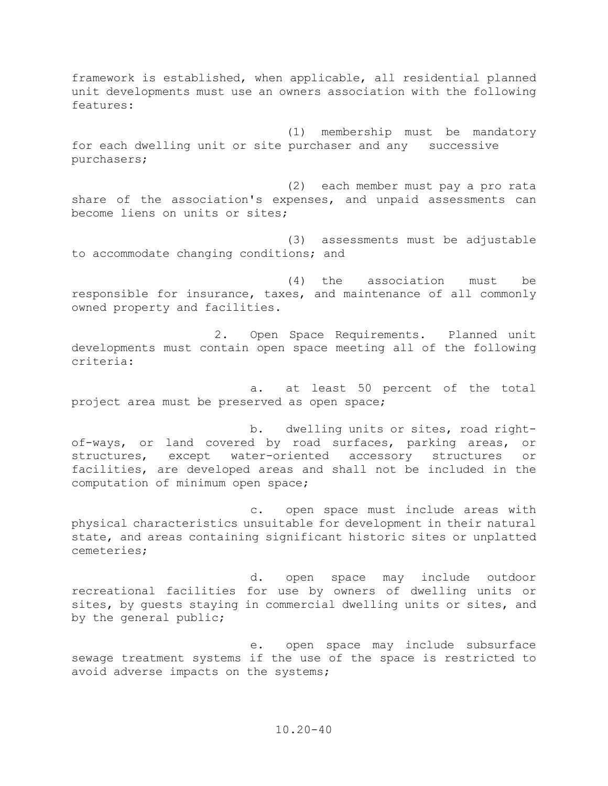framework is established, when applicable, all residential planned unit developments must use an owners association with the following features:

(1) membership must be mandatory for each dwelling unit or site purchaser and any successive purchasers;

(2) each member must pay a pro rata share of the association's expenses, and unpaid assessments can become liens on units or sites;

(3) assessments must be adjustable to accommodate changing conditions; and

(4) the association must be responsible for insurance, taxes, and maintenance of all commonly owned property and facilities.

2. Open Space Requirements.Planned unit developments must contain open space meeting all of the following criteria:

a. at least 50 percent of the total project area must be preserved as open space;

b. dwelling units or sites, road rightof-ways, or land covered by road surfaces, parking areas, or<br>structures, except water-oriented accessory structures or water-oriented accessory structures or facilities, are developed areas and shall not be included in the computation of minimum open space;

c. open space must include areas with physical characteristics unsuitable for development in their natural state, and areas containing significant historic sites or unplatted cemeteries;

d. open space may include outdoor recreational facilities for use by owners of dwelling units or sites, by guests staying in commercial dwelling units or sites, and by the general public;

e. open space may include subsurface sewage treatment systems if the use of the space is restricted to avoid adverse impacts on the systems;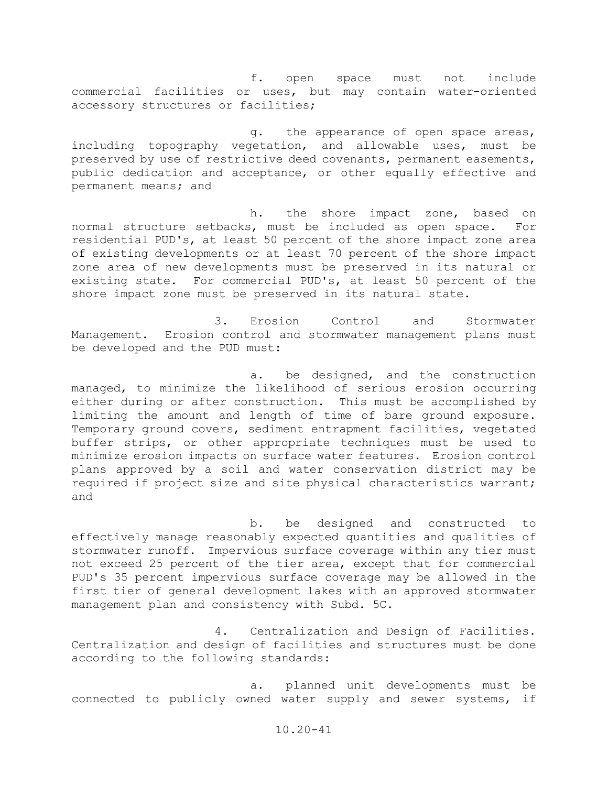f. open space must not include commercial facilities or uses, but may contain water-oriented accessory structures or facilities;

g. the appearance of open space areas, including topography vegetation, and allowable uses, must be preserved by use of restrictive deed covenants, permanent easements, public dedication and acceptance, or other equally effective and permanent means; and

h. the shore impact zone, based on normal structure setbacks, must be included as open space. For residential PUD's, at least 50 percent of the shore impact zone area of existing developments or at least 70 percent of the shore impact zone area of new developments must be preserved in its natural or existing state. For commercial PUD's, at least 50 percent of the shore impact zone must be preserved in its natural state.

3. Erosion Control and Stormwater Management. Erosion control and stormwater management plans must be developed and the PUD must:

a. be designed, and the construction managed, to minimize the likelihood of serious erosion occurring either during or after construction. This must be accomplished by limiting the amount and length of time of bare ground exposure. Temporary ground covers, sediment entrapment facilities, vegetated buffer strips, or other appropriate techniques must be used to minimize erosion impacts on surface water features. Erosion control plans approved by a soil and water conservation district may be required if project size and site physical characteristics warrant; and

b. be designed and constructed to effectively manage reasonably expected quantities and qualities of stormwater runoff. Impervious surface coverage within any tier must not exceed 25 percent of the tier area, except that for commercial PUD's 35 percent impervious surface coverage may be allowed in the first tier of general development lakes with an approved stormwater management plan and consistency with Subd. 5C.

4. Centralization and Design of Facilities. Centralization and design of facilities and structures must be done according to the following standards:

a. planned unit developments must be connected to publicly owned water supply and sewer systems, if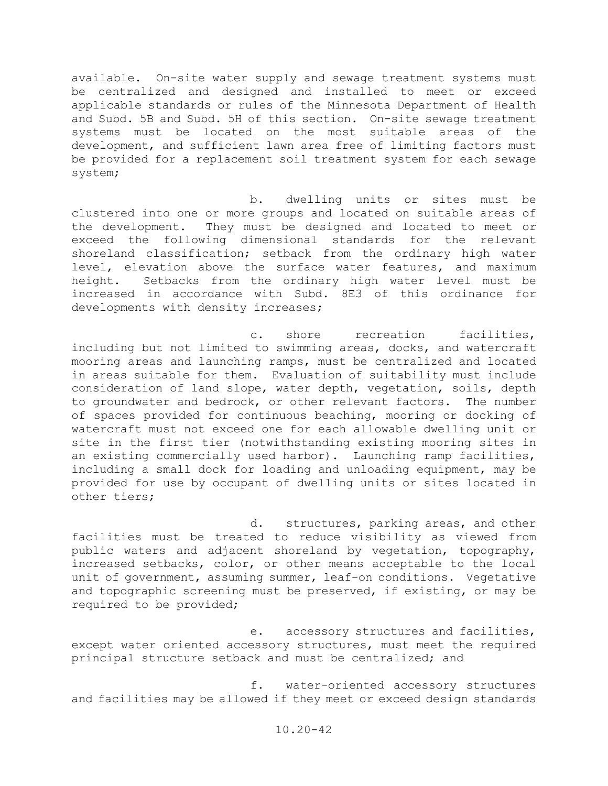available. On-site water supply and sewage treatment systems must be centralized and designed and installed to meet or exceed applicable standards or rules of the Minnesota Department of Health and Subd. 5B and Subd. 5H of this section. On-site sewage treatment systems must be located on the most suitable areas of the development, and sufficient lawn area free of limiting factors must be provided for a replacement soil treatment system for each sewage system;

b. dwelling units or sites must be clustered into one or more groups and located on suitable areas of the development. They must be designed and located to meet or exceed the following dimensional standards for the relevant shoreland classification; setback from the ordinary high water level, elevation above the surface water features, and maximum height. Setbacks from the ordinary high water level must be increased in accordance with Subd. 8E3 of this ordinance for developments with density increases;

c. shore recreation facilities, including but not limited to swimming areas, docks, and watercraft mooring areas and launching ramps, must be centralized and located in areas suitable for them. Evaluation of suitability must include consideration of land slope, water depth, vegetation, soils, depth to groundwater and bedrock, or other relevant factors. The number of spaces provided for continuous beaching, mooring or docking of watercraft must not exceed one for each allowable dwelling unit or site in the first tier (notwithstanding existing mooring sites in an existing commercially used harbor). Launching ramp facilities, including a small dock for loading and unloading equipment, may be provided for use by occupant of dwelling units or sites located in other tiers;

d. structures, parking areas, and other facilities must be treated to reduce visibility as viewed from public waters and adjacent shoreland by vegetation, topography, increased setbacks, color, or other means acceptable to the local unit of government, assuming summer, leaf-on conditions. Vegetative and topographic screening must be preserved, if existing, or may be required to be provided;

e. accessory structures and facilities, except water oriented accessory structures, must meet the required principal structure setback and must be centralized; and

f. water-oriented accessory structures and facilities may be allowed if they meet or exceed design standards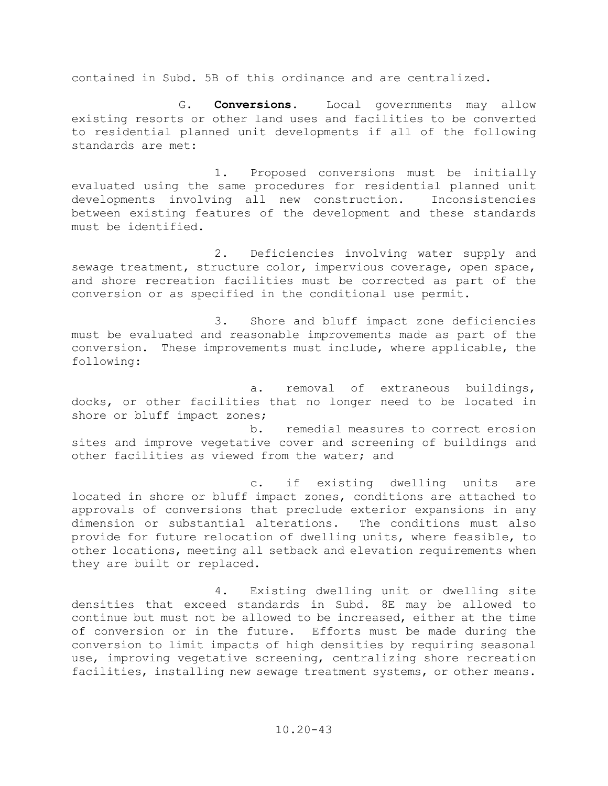contained in Subd. 5B of this ordinance and are centralized.

G. **Conversions**. Local governments may allow existing resorts or other land uses and facilities to be converted to residential planned unit developments if all of the following standards are met:

1. Proposed conversions must be initially evaluated using the same procedures for residential planned unit<br>developments involving all new construction. Inconsistencies developments involving all new construction. between existing features of the development and these standards must be identified.

2. Deficiencies involving water supply and sewage treatment, structure color, impervious coverage, open space, and shore recreation facilities must be corrected as part of the conversion or as specified in the conditional use permit.

3. Shore and bluff impact zone deficiencies must be evaluated and reasonable improvements made as part of the conversion. These improvements must include, where applicable, the following:

a. removal of extraneous buildings, docks, or other facilities that no longer need to be located in shore or bluff impact zones;

b. remedial measures to correct erosion sites and improve vegetative cover and screening of buildings and other facilities as viewed from the water; and

c. if existing dwelling units are located in shore or bluff impact zones, conditions are attached to approvals of conversions that preclude exterior expansions in any dimension or substantial alterations. The conditions must also dimension or substantial alterations. provide for future relocation of dwelling units, where feasible, to other locations, meeting all setback and elevation requirements when they are built or replaced.

4. Existing dwelling unit or dwelling site densities that exceed standards in Subd. 8E may be allowed to continue but must not be allowed to be increased, either at the time of conversion or in the future. Efforts must be made during the conversion to limit impacts of high densities by requiring seasonal use, improving vegetative screening, centralizing shore recreation facilities, installing new sewage treatment systems, or other means.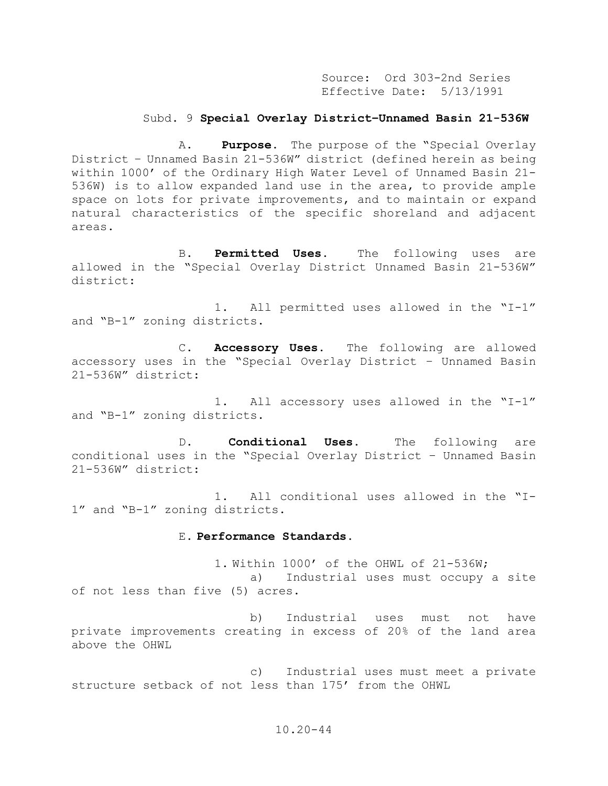Source: Ord 303-2nd Series Effective Date: 5/13/1991

#### Subd. 9 **Special Overlay District–Unnamed Basin 21-536W**

A. **Purpose.** The purpose of the "Special Overlay District – Unnamed Basin 21-536W" district (defined herein as being within 1000' of the Ordinary High Water Level of Unnamed Basin 21- 536W) is to allow expanded land use in the area, to provide ample space on lots for private improvements, and to maintain or expand natural characteristics of the specific shoreland and adjacent areas.

B. **Permitted Uses.** The following uses are allowed in the "Special Overlay District Unnamed Basin 21-536W" district:

1. All permitted uses allowed in the "I-1" and "B-1" zoning districts.

C. **Accessory Uses.** The following are allowed accessory uses in the "Special Overlay District – Unnamed Basin 21-536W" district:

1. All accessory uses allowed in the "I-1" and "B-1" zoning districts.

D. **Conditional Uses.** The following are conditional uses in the "Special Overlay District – Unnamed Basin 21-536W" district:

1. All conditional uses allowed in the "I-1" and "B-1" zoning districts.

#### E. **Performance Standards.**

1. Within 1000' of the OHWL of 21-536W; a) Industrial uses must occupy a site of not less than five (5) acres.

b) Industrial uses must not have private improvements creating in excess of 20% of the land area above the OHWL

c) Industrial uses must meet a private structure setback of not less than 175' from the OHWL